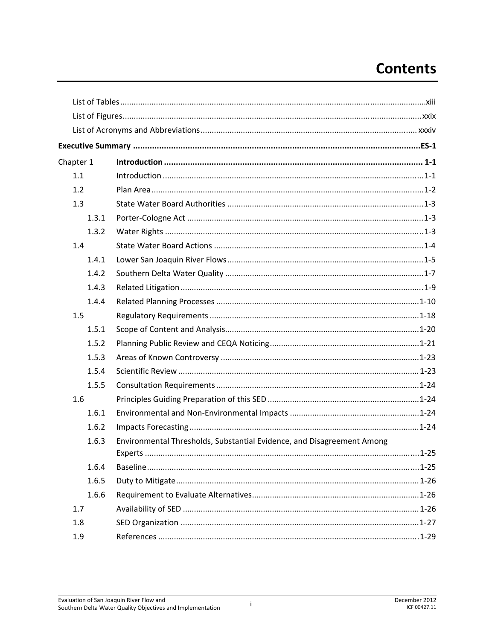## **Contents**

| Chapter 1 |                                                                        |  |
|-----------|------------------------------------------------------------------------|--|
| 1.1       |                                                                        |  |
| 1.2       |                                                                        |  |
| 1.3       |                                                                        |  |
| 1.3.1     |                                                                        |  |
| 1.3.2     |                                                                        |  |
| 1.4       |                                                                        |  |
| 1.4.1     |                                                                        |  |
| 1.4.2     |                                                                        |  |
| 1.4.3     |                                                                        |  |
| 1.4.4     |                                                                        |  |
| 1.5       |                                                                        |  |
| 1.5.1     |                                                                        |  |
| 1.5.2     |                                                                        |  |
| 1.5.3     |                                                                        |  |
| 1.5.4     |                                                                        |  |
| 1.5.5     |                                                                        |  |
| 1.6       |                                                                        |  |
| 1.6.1     |                                                                        |  |
| 1.6.2     |                                                                        |  |
| 1.6.3     | Environmental Thresholds, Substantial Evidence, and Disagreement Among |  |
|           |                                                                        |  |
| 1.6.4     |                                                                        |  |
| 1.6.5     |                                                                        |  |
| 1.6.6     |                                                                        |  |
| 1.7       |                                                                        |  |
| 1.8       |                                                                        |  |
| 1.9       |                                                                        |  |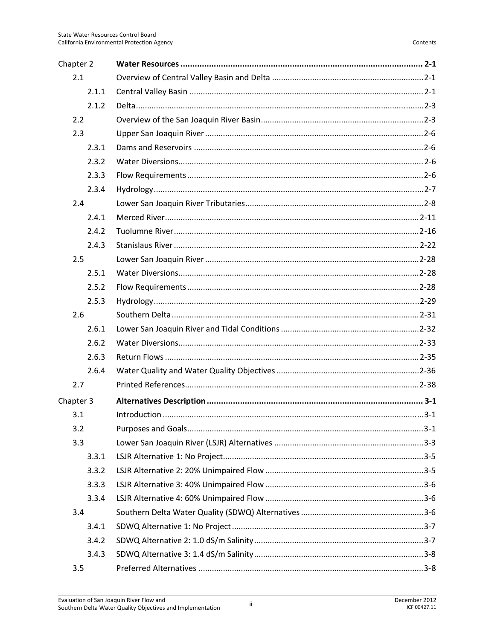| Chapter 2 |  |
|-----------|--|
| 2.1       |  |
| 2.1.1     |  |
| 2.1.2     |  |
| 2.2       |  |
| 2.3       |  |
| 2.3.1     |  |
| 2.3.2     |  |
| 2.3.3     |  |
| 2.3.4     |  |
| 2.4       |  |
| 2.4.1     |  |
| 2.4.2     |  |
| 2.4.3     |  |
| 2.5       |  |
| 2.5.1     |  |
| 2.5.2     |  |
| 2.5.3     |  |
| 2.6       |  |
| 2.6.1     |  |
| 2.6.2     |  |
| 2.6.3     |  |
| 2.6.4     |  |
| 2.7       |  |
| Chapter 3 |  |
| 3.1       |  |
| 3.2       |  |
| 3.3       |  |
| 3.3.1     |  |
| 3.3.2     |  |
| 3.3.3     |  |
| 3.3.4     |  |
| 3.4       |  |
| 3.4.1     |  |
| 3.4.2     |  |
| 3.4.3     |  |
| 3.5       |  |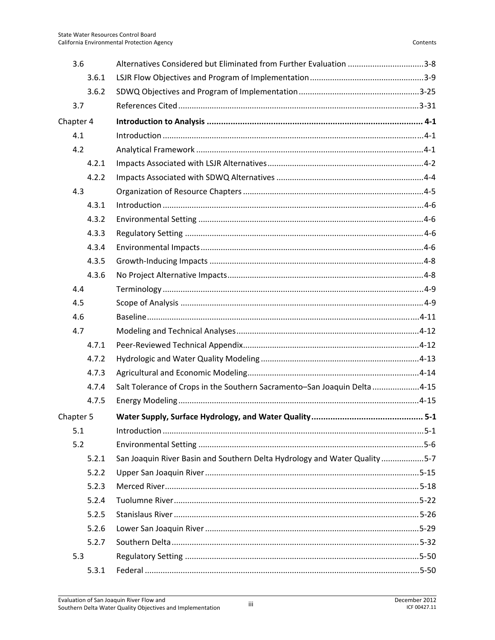| 3.6       | Alternatives Considered but Eliminated from Further Evaluation 3-8         |       |
|-----------|----------------------------------------------------------------------------|-------|
| 3.6.1     |                                                                            |       |
| 3.6.2     |                                                                            |       |
| 3.7       |                                                                            |       |
| Chapter 4 |                                                                            |       |
| 4.1       |                                                                            |       |
| 4.2       |                                                                            |       |
| 4.2.1     |                                                                            |       |
| 4.2.2     |                                                                            |       |
| 4.3       |                                                                            |       |
| 4.3.1     |                                                                            |       |
| 4.3.2     |                                                                            |       |
| 4.3.3     |                                                                            |       |
| 4.3.4     |                                                                            |       |
| 4.3.5     |                                                                            |       |
| 4.3.6     |                                                                            |       |
| 4.4       |                                                                            |       |
| 4.5       |                                                                            |       |
| 4.6       |                                                                            |       |
| 4.7       |                                                                            |       |
| 4.7.1     |                                                                            |       |
| 4.7.2     |                                                                            |       |
| 4.7.3     |                                                                            |       |
| 4.7.4     | Salt Tolerance of Crops in the Southern Sacramento-San Joaquin Delta 4-15  |       |
| 4.7.5     |                                                                            |       |
| Chapter 5 |                                                                            | $5-1$ |
| 5.1       |                                                                            |       |
| 5.2       |                                                                            |       |
| 5.2.1     | San Joaquin River Basin and Southern Delta Hydrology and Water Quality 5-7 |       |
| 5.2.2     |                                                                            |       |
| 5.2.3     |                                                                            |       |
| 5.2.4     |                                                                            |       |
| 5.2.5     |                                                                            |       |
| 5.2.6     |                                                                            |       |
| 5.2.7     |                                                                            |       |
| 5.3       |                                                                            |       |
| 5.3.1     |                                                                            |       |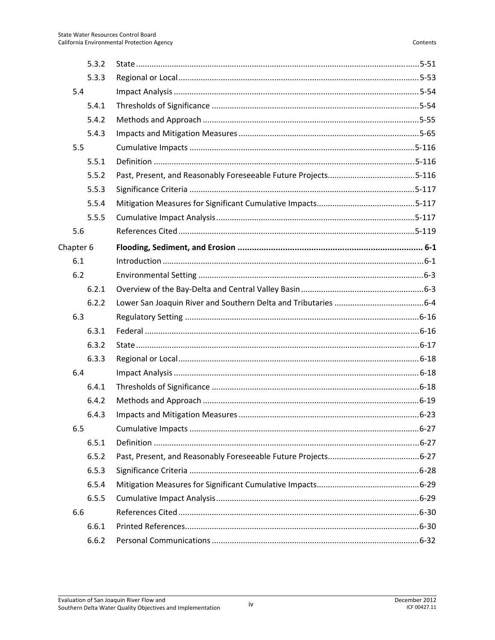| 5.3.2     |  |
|-----------|--|
| 5.3.3     |  |
| 5.4       |  |
| 5.4.1     |  |
| 5.4.2     |  |
| 5.4.3     |  |
| 5.5       |  |
| 5.5.1     |  |
| 5.5.2     |  |
| 5.5.3     |  |
| 5.5.4     |  |
| 5.5.5     |  |
| 5.6       |  |
| Chapter 6 |  |
| 6.1       |  |
| 6.2       |  |
| 6.2.1     |  |
| 6.2.2     |  |
| 6.3       |  |
| 6.3.1     |  |
| 6.3.2     |  |
| 6.3.3     |  |
| 6.4       |  |
| 6.4.1     |  |
| 6.4.2     |  |
| 6.4.3     |  |
| 6.5       |  |
| 6.5.1     |  |
| 6.5.2     |  |
| 6.5.3     |  |
| 6.5.4     |  |
| 6.5.5     |  |
| 6.6       |  |
| 6.6.1     |  |
| 6.6.2     |  |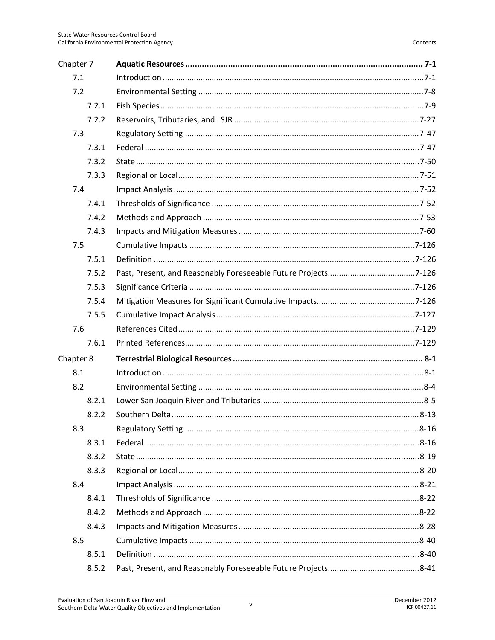| Chapter 7 |  |
|-----------|--|
| 7.1       |  |
| 7.2       |  |
| 7.2.1     |  |
| 7.2.2     |  |
| 7.3       |  |
| 7.3.1     |  |
| 7.3.2     |  |
| 7.3.3     |  |
| 7.4       |  |
| 7.4.1     |  |
| 7.4.2     |  |
| 7.4.3     |  |
| 7.5       |  |
| 7.5.1     |  |
| 7.5.2     |  |
| 7.5.3     |  |
| 7.5.4     |  |
| 7.5.5     |  |
| 7.6       |  |
| 7.6.1     |  |
| Chapter 8 |  |
| 8.1       |  |
| 8.2       |  |
| 8.2.1     |  |
| 8.2.2     |  |
| 8.3       |  |
| 8.3.1     |  |
| 8.3.2     |  |
| 8.3.3     |  |
| 8.4       |  |
| 8.4.1     |  |
| 8.4.2     |  |
| 8.4.3     |  |
| 8.5       |  |
| 8.5.1     |  |
| 8.5.2     |  |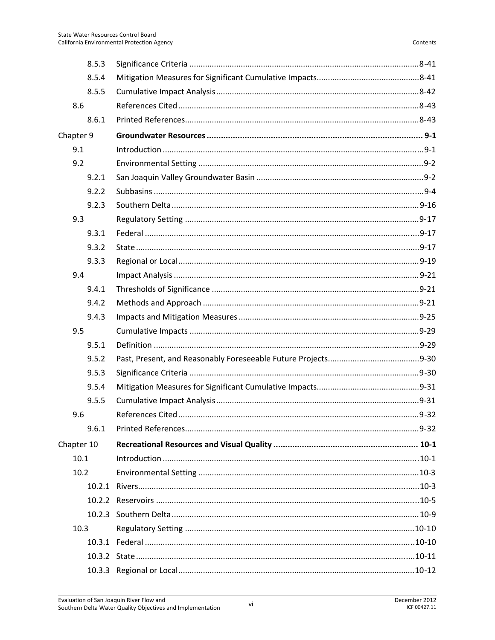|            | 8.5.3 |  |
|------------|-------|--|
|            | 8.5.4 |  |
|            | 8.5.5 |  |
| 8.6        |       |  |
|            | 8.6.1 |  |
| Chapter 9  |       |  |
| 9.1        |       |  |
| 9.2        |       |  |
|            | 9.2.1 |  |
|            | 9.2.2 |  |
|            | 9.2.3 |  |
| 9.3        |       |  |
|            | 9.3.1 |  |
|            | 9.3.2 |  |
|            | 9.3.3 |  |
| 9.4        |       |  |
|            | 9.4.1 |  |
|            | 9.4.2 |  |
|            | 9.4.3 |  |
| 9.5        |       |  |
|            | 9.5.1 |  |
|            | 9.5.2 |  |
|            | 9.5.3 |  |
|            | 9.5.4 |  |
|            | 9.5.5 |  |
| 9.6        |       |  |
|            | 9.6.1 |  |
| Chapter 10 |       |  |
| 10.1       |       |  |
| 10.2       |       |  |
|            |       |  |
|            |       |  |
|            |       |  |
| 10.3       |       |  |
|            |       |  |
|            |       |  |
|            |       |  |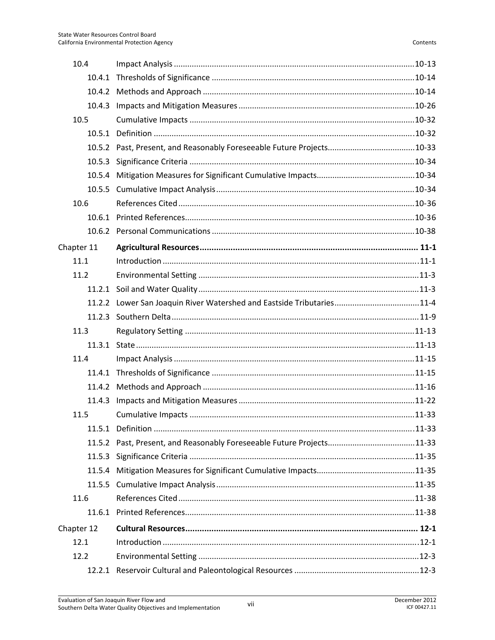| 10.4       |                                                                       |  |
|------------|-----------------------------------------------------------------------|--|
| 10.4.1     |                                                                       |  |
|            |                                                                       |  |
| 10.4.3     |                                                                       |  |
| 10.5       |                                                                       |  |
| 10.5.1     |                                                                       |  |
|            | 10.5.2 Past, Present, and Reasonably Foreseeable Future Projects10-33 |  |
| 10.5.3     |                                                                       |  |
|            |                                                                       |  |
| 10.5.5     |                                                                       |  |
| 10.6       |                                                                       |  |
|            |                                                                       |  |
|            |                                                                       |  |
| Chapter 11 |                                                                       |  |
| 11.1       |                                                                       |  |
| 11.2       |                                                                       |  |
|            |                                                                       |  |
|            | 11.2.2 Lower San Joaquin River Watershed and Eastside Tributaries11-4 |  |
| 11.2.3     |                                                                       |  |
| 11.3       |                                                                       |  |
| 11.3.1     |                                                                       |  |
| 11.4       |                                                                       |  |
|            |                                                                       |  |
|            |                                                                       |  |
| 11.4.3     |                                                                       |  |
| 11.5       |                                                                       |  |
|            |                                                                       |  |
|            | 11.5.2 Past, Present, and Reasonably Foreseeable Future Projects11-33 |  |
| 11.5.3     |                                                                       |  |
| 11.5.4     |                                                                       |  |
| 11.5.5     |                                                                       |  |
| 11.6       |                                                                       |  |
|            |                                                                       |  |
| Chapter 12 |                                                                       |  |
| 12.1       |                                                                       |  |
| 12.2       |                                                                       |  |
|            |                                                                       |  |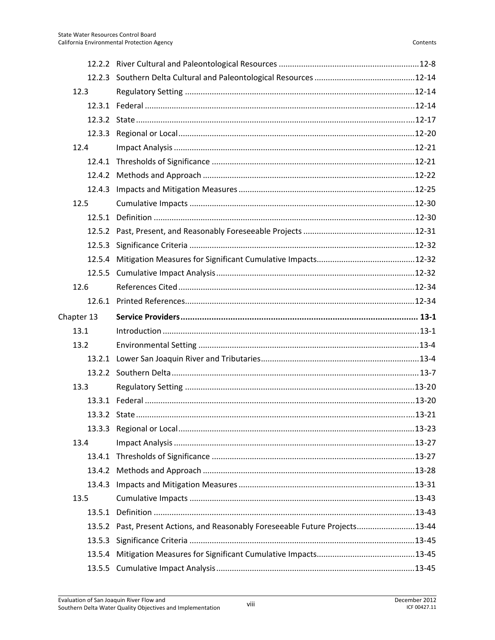| 12.3       |                                                                               |  |
|------------|-------------------------------------------------------------------------------|--|
|            |                                                                               |  |
|            |                                                                               |  |
|            |                                                                               |  |
| 12.4       |                                                                               |  |
|            |                                                                               |  |
|            |                                                                               |  |
| 12.4.3     |                                                                               |  |
| 12.5       |                                                                               |  |
|            |                                                                               |  |
|            |                                                                               |  |
|            |                                                                               |  |
|            |                                                                               |  |
|            |                                                                               |  |
| 12.6       |                                                                               |  |
|            |                                                                               |  |
| Chapter 13 |                                                                               |  |
| 13.1       |                                                                               |  |
| 13.2       |                                                                               |  |
|            |                                                                               |  |
|            |                                                                               |  |
| 13.3       |                                                                               |  |
|            |                                                                               |  |
|            |                                                                               |  |
|            |                                                                               |  |
| 13.4       |                                                                               |  |
|            |                                                                               |  |
|            |                                                                               |  |
| 13.4.3     |                                                                               |  |
| 13.5       |                                                                               |  |
|            |                                                                               |  |
|            |                                                                               |  |
|            | 13.5.2 Past, Present Actions, and Reasonably Foreseeable Future Projects13-44 |  |
| 13.5.3     |                                                                               |  |
|            |                                                                               |  |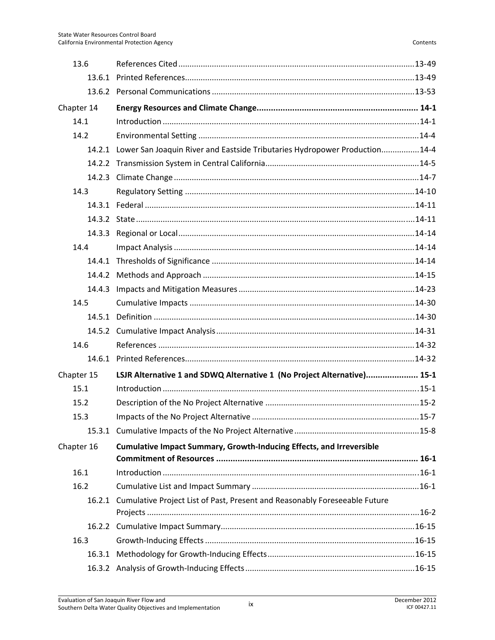| 13.6       |                                                                                   |  |
|------------|-----------------------------------------------------------------------------------|--|
|            |                                                                                   |  |
|            |                                                                                   |  |
| Chapter 14 |                                                                                   |  |
| 14.1       |                                                                                   |  |
| 14.2       |                                                                                   |  |
|            | 14.2.1 Lower San Joaquin River and Eastside Tributaries Hydropower Production14-4 |  |
|            |                                                                                   |  |
|            |                                                                                   |  |
| 14.3       |                                                                                   |  |
|            |                                                                                   |  |
|            |                                                                                   |  |
|            |                                                                                   |  |
| 14.4       |                                                                                   |  |
|            |                                                                                   |  |
|            |                                                                                   |  |
|            |                                                                                   |  |
| 14.5       |                                                                                   |  |
|            |                                                                                   |  |
|            |                                                                                   |  |
| 14.6       |                                                                                   |  |
|            |                                                                                   |  |
| Chapter 15 | LSJR Alternative 1 and SDWQ Alternative 1 (No Project Alternative) 15-1           |  |
| 15.1       |                                                                                   |  |
| 15.2       |                                                                                   |  |
| 15.3       |                                                                                   |  |
|            |                                                                                   |  |
| Chapter 16 | <b>Cumulative Impact Summary, Growth-Inducing Effects, and Irreversible</b>       |  |
|            |                                                                                   |  |
| 16.1       |                                                                                   |  |
| 16.2       |                                                                                   |  |
|            | 16.2.1 Cumulative Project List of Past, Present and Reasonably Foreseeable Future |  |
|            |                                                                                   |  |
| 16.3       |                                                                                   |  |
|            |                                                                                   |  |
|            |                                                                                   |  |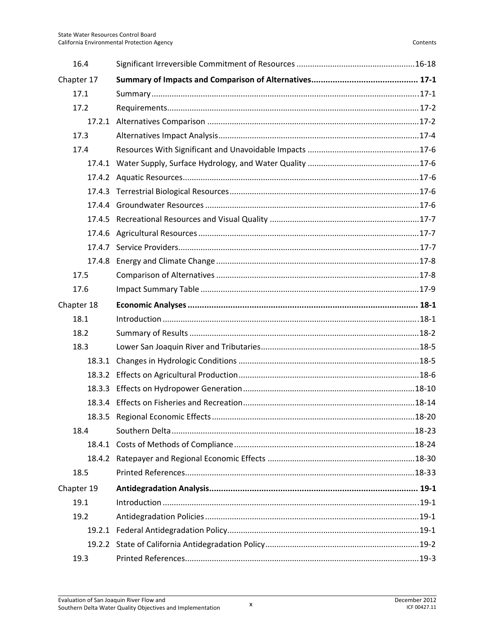| 16.4       |  |
|------------|--|
| Chapter 17 |  |
| 17.1       |  |
| 17.2       |  |
|            |  |
| 17.3       |  |
| 17.4       |  |
|            |  |
|            |  |
|            |  |
|            |  |
| 17.4.5     |  |
|            |  |
|            |  |
| 17.4.8     |  |
| 17.5       |  |
| 17.6       |  |
| Chapter 18 |  |
| 18.1       |  |
| 18.2       |  |
| 18.3       |  |
|            |  |
| 18.3.2     |  |
| 18.3.3     |  |
| 18.3.4     |  |
|            |  |
| 18.4       |  |
|            |  |
|            |  |
| 18.5       |  |
| Chapter 19 |  |
| 19.1       |  |
| 19.2       |  |
|            |  |
|            |  |
| 19.3       |  |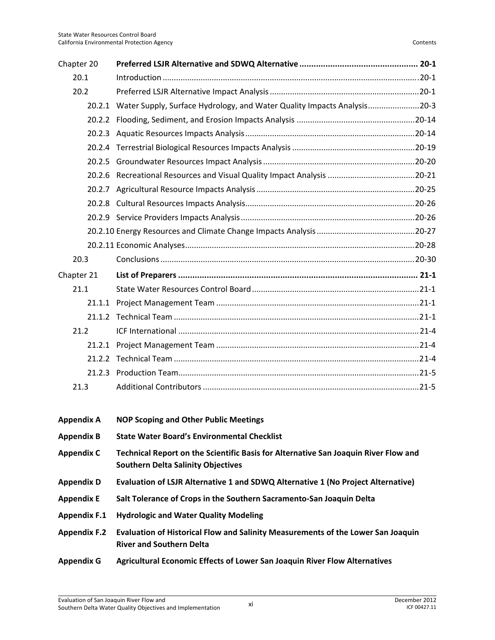| Chapter 20          |                                                                                                                                  |
|---------------------|----------------------------------------------------------------------------------------------------------------------------------|
| 20.1                |                                                                                                                                  |
| 20.2                |                                                                                                                                  |
|                     | 20.2.1 Water Supply, Surface Hydrology, and Water Quality Impacts Analysis20-3                                                   |
|                     |                                                                                                                                  |
|                     |                                                                                                                                  |
|                     |                                                                                                                                  |
|                     |                                                                                                                                  |
| 20.2.6              |                                                                                                                                  |
|                     |                                                                                                                                  |
|                     |                                                                                                                                  |
|                     |                                                                                                                                  |
|                     |                                                                                                                                  |
|                     |                                                                                                                                  |
| 20.3                |                                                                                                                                  |
| Chapter 21          |                                                                                                                                  |
| 21.1                |                                                                                                                                  |
|                     |                                                                                                                                  |
| 21.1.2              |                                                                                                                                  |
| 21.2                |                                                                                                                                  |
|                     |                                                                                                                                  |
|                     |                                                                                                                                  |
| 21.2.3              |                                                                                                                                  |
| 21.3                |                                                                                                                                  |
|                     |                                                                                                                                  |
| <b>Appendix A</b>   | <b>NOP Scoping and Other Public Meetings</b>                                                                                     |
| <b>Appendix B</b>   | <b>State Water Board's Environmental Checklist</b>                                                                               |
| <b>Appendix C</b>   | Technical Report on the Scientific Basis for Alternative San Joaquin River Flow and<br><b>Southern Delta Salinity Objectives</b> |
| <b>Appendix D</b>   | Evaluation of LSJR Alternative 1 and SDWQ Alternative 1 (No Project Alternative)                                                 |
| <b>Appendix E</b>   | Salt Tolerance of Crops in the Southern Sacramento-San Joaquin Delta                                                             |
| <b>Appendix F.1</b> | <b>Hydrologic and Water Quality Modeling</b>                                                                                     |

- **Appendix F.2 Evaluation of Historical Flow and Salinity Measurements of the Lower San Joaquin River and Southern Delta**
- **Appendix G Agricultural Economic Effects of Lower San Joaquin River Flow Alternatives**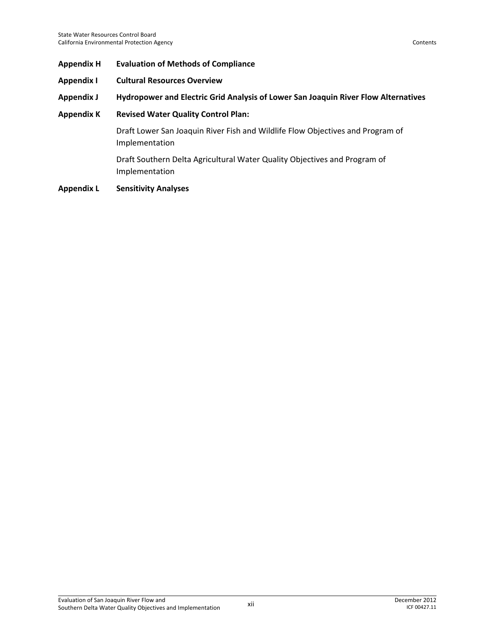- **Appendix H Evaluation of Methods of Compliance**
- **Appendix I Cultural Resources Overview**
- **Appendix J Hydropower and Electric Grid Analysis of Lower San Joaquin River Flow Alternatives**
- **Appendix K Revised Water Quality Control Plan:**

Draft Lower San Joaquin River Fish and Wildlife Flow Objectives and Program of Implementation

Draft Southern Delta Agricultural Water Quality Objectives and Program of Implementation

**Appendix L Sensitivity Analyses**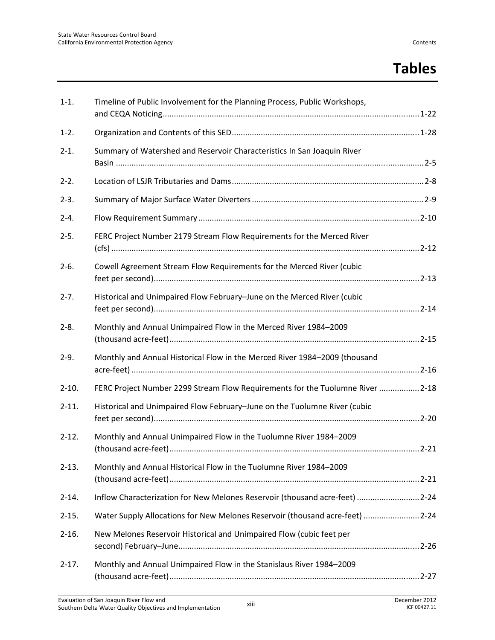### **Tables**

| $1-1.$     | Timeline of Public Involvement for the Planning Process, Public Workshops,     |  |
|------------|--------------------------------------------------------------------------------|--|
| $1-2.$     |                                                                                |  |
| $2 - 1$ .  | Summary of Watershed and Reservoir Characteristics In San Joaquin River        |  |
| $2-2.$     |                                                                                |  |
| $2-3.$     |                                                                                |  |
| $2 - 4.$   |                                                                                |  |
| $2 - 5.$   | FERC Project Number 2179 Stream Flow Requirements for the Merced River         |  |
| $2-6.$     | Cowell Agreement Stream Flow Requirements for the Merced River (cubic          |  |
| $2 - 7.$   | Historical and Unimpaired Flow February-June on the Merced River (cubic        |  |
| $2 - 8.$   | Monthly and Annual Unimpaired Flow in the Merced River 1984-2009               |  |
| $2-9.$     | Monthly and Annual Historical Flow in the Merced River 1984-2009 (thousand     |  |
| $2-10.$    | FERC Project Number 2299 Stream Flow Requirements for the Tuolumne River  2-18 |  |
| $2 - 11.$  | Historical and Unimpaired Flow February-June on the Tuolumne River (cubic      |  |
| $2 - 12.$  | Monthly and Annual Unimpaired Flow in the Tuolumne River 1984-2009             |  |
| $2 - 13$ . | Monthly and Annual Historical Flow in the Tuolumne River 1984-2009             |  |
| $2 - 14.$  | Inflow Characterization for New Melones Reservoir (thousand acre-feet)  2-24   |  |
| $2 - 15.$  | Water Supply Allocations for New Melones Reservoir (thousand acre-feet)  2-24  |  |
| $2 - 16.$  | New Melones Reservoir Historical and Unimpaired Flow (cubic feet per           |  |
| $2 - 17.$  | Monthly and Annual Unimpaired Flow in the Stanislaus River 1984-2009           |  |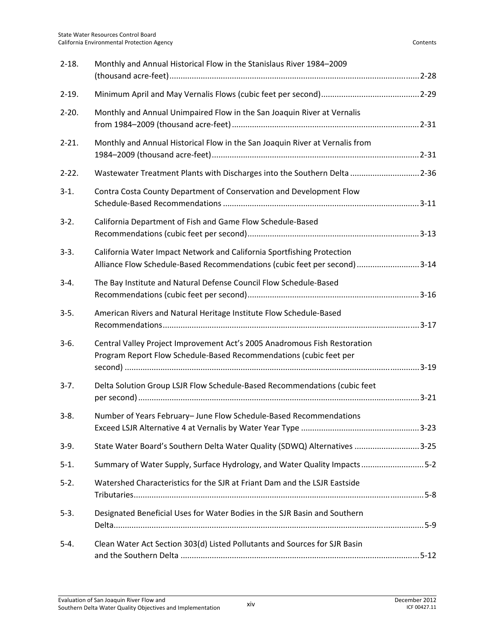| $2 - 18.$  | Monthly and Annual Historical Flow in the Stanislaus River 1984-2009                                                                                |
|------------|-----------------------------------------------------------------------------------------------------------------------------------------------------|
| $2-19.$    |                                                                                                                                                     |
| $2 - 20.$  | Monthly and Annual Unimpaired Flow in the San Joaquin River at Vernalis                                                                             |
| $2 - 21$ . | Monthly and Annual Historical Flow in the San Joaquin River at Vernalis from                                                                        |
| $2 - 22$ . | Wastewater Treatment Plants with Discharges into the Southern Delta 2-36                                                                            |
| $3-1.$     | Contra Costa County Department of Conservation and Development Flow                                                                                 |
| $3-2.$     | California Department of Fish and Game Flow Schedule-Based                                                                                          |
| $3-3.$     | California Water Impact Network and California Sportfishing Protection<br>Alliance Flow Schedule-Based Recommendations (cubic feet per second) 3-14 |
| $3-4.$     | The Bay Institute and Natural Defense Council Flow Schedule-Based                                                                                   |
| $3-5.$     | American Rivers and Natural Heritage Institute Flow Schedule-Based                                                                                  |
| $3-6.$     | Central Valley Project Improvement Act's 2005 Anadromous Fish Restoration<br>Program Report Flow Schedule-Based Recommendations (cubic feet per     |
| $3-7.$     | Delta Solution Group LSJR Flow Schedule-Based Recommendations (cubic feet                                                                           |
| $3-8.$     | Number of Years February- June Flow Schedule-Based Recommendations                                                                                  |
| $3-9.$     | State Water Board's Southern Delta Water Quality (SDWQ) Alternatives 3-25                                                                           |
| $5-1.$     | Summary of Water Supply, Surface Hydrology, and Water Quality Impacts5-2                                                                            |
| $5-2.$     | Watershed Characteristics for the SJR at Friant Dam and the LSJR Eastside                                                                           |
| $5-3.$     | Designated Beneficial Uses for Water Bodies in the SJR Basin and Southern                                                                           |
| $5 - 4.$   | Clean Water Act Section 303(d) Listed Pollutants and Sources for SJR Basin                                                                          |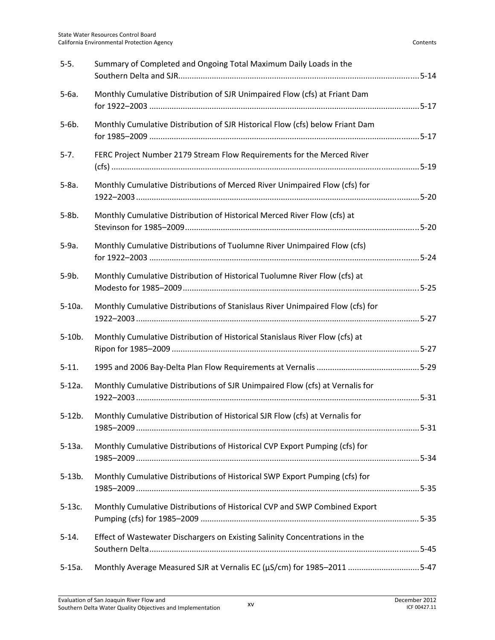| $5-5.$    | Summary of Completed and Ongoing Total Maximum Daily Loads in the              |  |
|-----------|--------------------------------------------------------------------------------|--|
| $5-6a.$   | Monthly Cumulative Distribution of SJR Unimpaired Flow (cfs) at Friant Dam     |  |
| $5-6b.$   | Monthly Cumulative Distribution of SJR Historical Flow (cfs) below Friant Dam  |  |
| $5 - 7.$  | FERC Project Number 2179 Stream Flow Requirements for the Merced River         |  |
| $5-8a.$   | Monthly Cumulative Distributions of Merced River Unimpaired Flow (cfs) for     |  |
| $5-8b.$   | Monthly Cumulative Distribution of Historical Merced River Flow (cfs) at       |  |
| $5-9a.$   | Monthly Cumulative Distributions of Tuolumne River Unimpaired Flow (cfs)       |  |
| $5-9b.$   | Monthly Cumulative Distribution of Historical Tuolumne River Flow (cfs) at     |  |
| $5-10a.$  | Monthly Cumulative Distributions of Stanislaus River Unimpaired Flow (cfs) for |  |
| $5-10b.$  | Monthly Cumulative Distribution of Historical Stanislaus River Flow (cfs) at   |  |
| $5 - 11.$ |                                                                                |  |
| $5-12a.$  | Monthly Cumulative Distributions of SJR Unimpaired Flow (cfs) at Vernalis for  |  |
| $5-12b.$  | Monthly Cumulative Distribution of Historical SJR Flow (cfs) at Vernalis for   |  |
| $5-13a.$  | Monthly Cumulative Distributions of Historical CVP Export Pumping (cfs) for    |  |
| $5-13b.$  | Monthly Cumulative Distributions of Historical SWP Export Pumping (cfs) for    |  |
| $5-13c.$  | Monthly Cumulative Distributions of Historical CVP and SWP Combined Export     |  |
| $5-14.$   | Effect of Wastewater Dischargers on Existing Salinity Concentrations in the    |  |
| $5-15a.$  | Monthly Average Measured SJR at Vernalis EC (µS/cm) for 1985-2011 5-47         |  |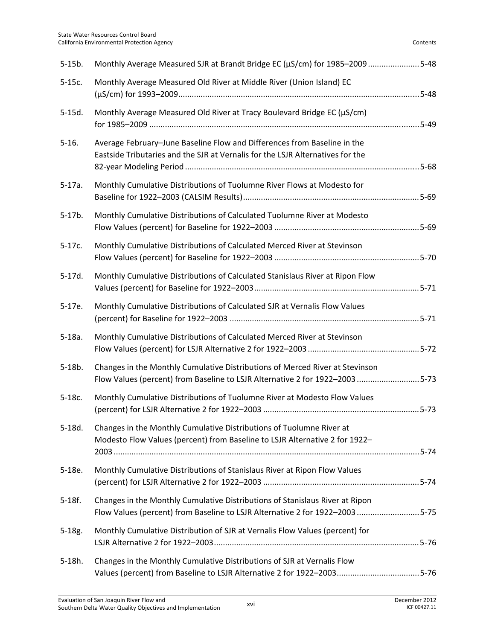| $5-15b.$  | Monthly Average Measured SJR at Brandt Bridge EC (µS/cm) for 1985-2009 5-48                                                                                  |  |
|-----------|--------------------------------------------------------------------------------------------------------------------------------------------------------------|--|
| $5-15c.$  | Monthly Average Measured Old River at Middle River (Union Island) EC                                                                                         |  |
| $5-15d.$  | Monthly Average Measured Old River at Tracy Boulevard Bridge EC (µS/cm)                                                                                      |  |
| $5 - 16.$ | Average February-June Baseline Flow and Differences from Baseline in the<br>Eastside Tributaries and the SJR at Vernalis for the LSJR Alternatives for the   |  |
| $5-17a.$  | Monthly Cumulative Distributions of Tuolumne River Flows at Modesto for                                                                                      |  |
| $5-17b.$  | Monthly Cumulative Distributions of Calculated Tuolumne River at Modesto                                                                                     |  |
| $5-17c.$  | Monthly Cumulative Distributions of Calculated Merced River at Stevinson                                                                                     |  |
| $5-17d.$  | Monthly Cumulative Distributions of Calculated Stanislaus River at Ripon Flow                                                                                |  |
| $5-17e.$  | Monthly Cumulative Distributions of Calculated SJR at Vernalis Flow Values                                                                                   |  |
| $5-18a.$  | Monthly Cumulative Distributions of Calculated Merced River at Stevinson                                                                                     |  |
| $5-18b.$  | Changes in the Monthly Cumulative Distributions of Merced River at Stevinson<br>Flow Values (percent) from Baseline to LSJR Alternative 2 for 1922-2003 5-73 |  |
| $5-18c.$  | Monthly Cumulative Distributions of Tuolumne River at Modesto Flow Values                                                                                    |  |
| $5-18d.$  | Changes in the Monthly Cumulative Distributions of Tuolumne River at<br>Modesto Flow Values (percent) from Baseline to LSJR Alternative 2 for 1922-          |  |
| 5-18e.    | Monthly Cumulative Distributions of Stanislaus River at Ripon Flow Values                                                                                    |  |
| $5-18f.$  | Changes in the Monthly Cumulative Distributions of Stanislaus River at Ripon<br>Flow Values (percent) from Baseline to LSJR Alternative 2 for 1922-2003 5-75 |  |
| $5-18g.$  | Monthly Cumulative Distribution of SJR at Vernalis Flow Values (percent) for                                                                                 |  |
| 5-18h.    | Changes in the Monthly Cumulative Distributions of SJR at Vernalis Flow                                                                                      |  |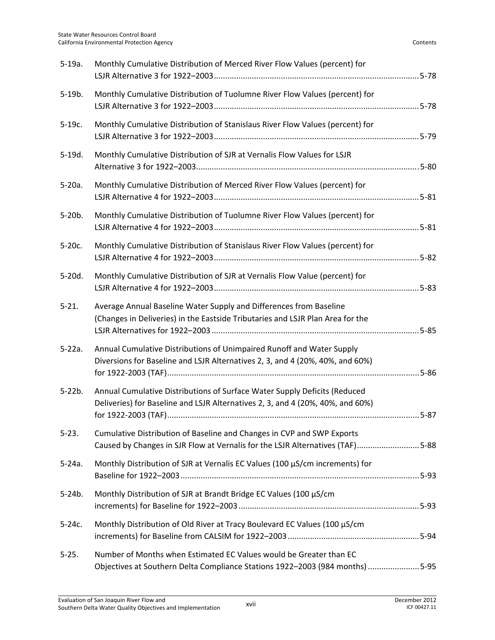| $5-19a.$   | Monthly Cumulative Distribution of Merced River Flow Values (percent) for                                                                                   |
|------------|-------------------------------------------------------------------------------------------------------------------------------------------------------------|
| $5-19b.$   | Monthly Cumulative Distribution of Tuolumne River Flow Values (percent) for                                                                                 |
| $5-19c.$   | Monthly Cumulative Distribution of Stanislaus River Flow Values (percent) for                                                                               |
| $5-19d.$   | Monthly Cumulative Distribution of SJR at Vernalis Flow Values for LSJR                                                                                     |
| $5-20a.$   | Monthly Cumulative Distribution of Merced River Flow Values (percent) for                                                                                   |
| $5-20b.$   | Monthly Cumulative Distribution of Tuolumne River Flow Values (percent) for                                                                                 |
| $5-20c.$   | Monthly Cumulative Distribution of Stanislaus River Flow Values (percent) for                                                                               |
| $5-20d.$   | Monthly Cumulative Distribution of SJR at Vernalis Flow Value (percent) for                                                                                 |
| $5 - 21.$  | Average Annual Baseline Water Supply and Differences from Baseline<br>(Changes in Deliveries) in the Eastside Tributaries and LSJR Plan Area for the        |
| $5-22a.$   | Annual Cumulative Distributions of Unimpaired Runoff and Water Supply<br>Diversions for Baseline and LSJR Alternatives 2, 3, and 4 (20%, 40%, and 60%)      |
| $5-22b.$   | Annual Cumulative Distributions of Surface Water Supply Deficits (Reduced<br>Deliveries) for Baseline and LSJR Alternatives 2, 3, and 4 (20%, 40%, and 60%) |
| $5 - 23.$  | Cumulative Distribution of Baseline and Changes in CVP and SWP Exports<br>Caused by Changes in SJR Flow at Vernalis for the LSJR Alternatives (TAF)5-88     |
| $5-24a.$   | Monthly Distribution of SJR at Vernalis EC Values (100 µS/cm increments) for                                                                                |
| $5-24b.$   | Monthly Distribution of SJR at Brandt Bridge EC Values (100 µS/cm                                                                                           |
| $5 - 24c.$ | Monthly Distribution of Old River at Tracy Boulevard EC Values (100 µS/cm                                                                                   |
| $5 - 25.$  | Number of Months when Estimated EC Values would be Greater than EC<br>Objectives at Southern Delta Compliance Stations 1922-2003 (984 months) 5-95          |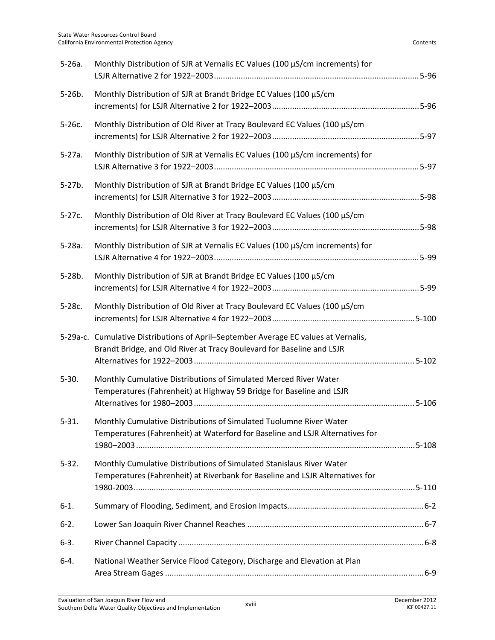| $5-26a.$  | Monthly Distribution of SJR at Vernalis EC Values (100 µS/cm increments) for                                                                                 |  |
|-----------|--------------------------------------------------------------------------------------------------------------------------------------------------------------|--|
| $5-26b.$  | Monthly Distribution of SJR at Brandt Bridge EC Values (100 µS/cm                                                                                            |  |
| $5-26c.$  | Monthly Distribution of Old River at Tracy Boulevard EC Values (100 µS/cm                                                                                    |  |
| $5-27a.$  | Monthly Distribution of SJR at Vernalis EC Values (100 µS/cm increments) for                                                                                 |  |
| $5-27b.$  | Monthly Distribution of SJR at Brandt Bridge EC Values (100 µS/cm                                                                                            |  |
| $5-27c.$  | Monthly Distribution of Old River at Tracy Boulevard EC Values (100 µS/cm                                                                                    |  |
| $5-28a.$  | Monthly Distribution of SJR at Vernalis EC Values (100 µS/cm increments) for                                                                                 |  |
| $5-28b.$  | Monthly Distribution of SJR at Brandt Bridge EC Values (100 µS/cm                                                                                            |  |
| $5-28c.$  | Monthly Distribution of Old River at Tracy Boulevard EC Values (100 µS/cm                                                                                    |  |
|           | 5-29a-c. Cumulative Distributions of April-September Average EC values at Vernalis,<br>Brandt Bridge, and Old River at Tracy Boulevard for Baseline and LSJR |  |
| $5-30.$   | Monthly Cumulative Distributions of Simulated Merced River Water<br>Temperatures (Fahrenheit) at Highway 59 Bridge for Baseline and LSJR                     |  |
| $5 - 31.$ | Monthly Cumulative Distributions of Simulated Tuolumne River Water<br>Temperatures (Fahrenheit) at Waterford for Baseline and LSJR Alternatives for          |  |
| $5 - 32.$ | Monthly Cumulative Distributions of Simulated Stanislaus River Water<br>Temperatures (Fahrenheit) at Riverbank for Baseline and LSJR Alternatives for        |  |
| $6-1.$    |                                                                                                                                                              |  |
| $6 - 2$ . |                                                                                                                                                              |  |
| $6-3.$    |                                                                                                                                                              |  |
| $6-4.$    | National Weather Service Flood Category, Discharge and Elevation at Plan                                                                                     |  |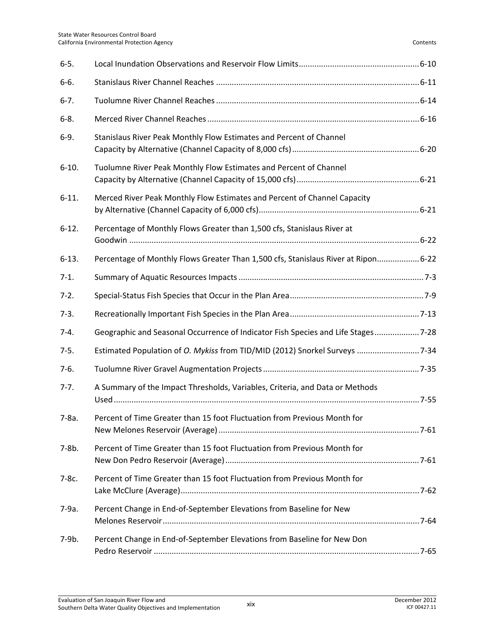| $6 - 5.$  |                                                                                    |  |
|-----------|------------------------------------------------------------------------------------|--|
| $6 - 6.$  |                                                                                    |  |
| $6 - 7.$  |                                                                                    |  |
| $6 - 8.$  |                                                                                    |  |
| $6-9.$    | Stanislaus River Peak Monthly Flow Estimates and Percent of Channel                |  |
| $6-10.$   | Tuolumne River Peak Monthly Flow Estimates and Percent of Channel                  |  |
| $6-11.$   | Merced River Peak Monthly Flow Estimates and Percent of Channel Capacity           |  |
| $6-12.$   | Percentage of Monthly Flows Greater than 1,500 cfs, Stanislaus River at            |  |
| $6-13.$   | Percentage of Monthly Flows Greater Than 1,500 cfs, Stanislaus River at Ripon 6-22 |  |
| $7-1.$    |                                                                                    |  |
| $7-2.$    |                                                                                    |  |
| $7-3.$    |                                                                                    |  |
| $7-4.$    | Geographic and Seasonal Occurrence of Indicator Fish Species and Life Stages 7-28  |  |
| $7-5.$    | Estimated Population of O. Mykiss from TID/MID (2012) Snorkel Surveys  7-34        |  |
| $7-6.$    |                                                                                    |  |
| $7 - 7.$  | A Summary of the Impact Thresholds, Variables, Criteria, and Data or Methods       |  |
| $7 - 8a.$ | Percent of Time Greater than 15 foot Fluctuation from Previous Month for           |  |
| $7-8b.$   | Percent of Time Greater than 15 foot Fluctuation from Previous Month for           |  |
| 7-8c.     | Percent of Time Greater than 15 foot Fluctuation from Previous Month for           |  |
| 7-9a.     | Percent Change in End-of-September Elevations from Baseline for New                |  |
| 7-9b.     | Percent Change in End-of-September Elevations from Baseline for New Don            |  |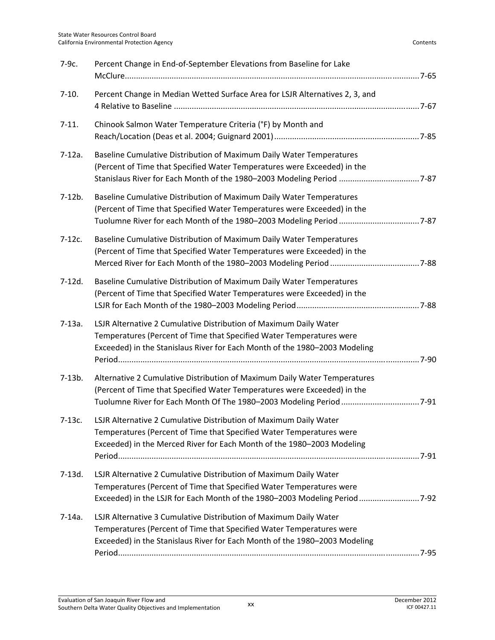| 7-9с.    | Percent Change in End-of-September Elevations from Baseline for Lake                                                                                                                                                       |  |
|----------|----------------------------------------------------------------------------------------------------------------------------------------------------------------------------------------------------------------------------|--|
| $7-10.$  | Percent Change in Median Wetted Surface Area for LSJR Alternatives 2, 3, and                                                                                                                                               |  |
| $7-11.$  | Chinook Salmon Water Temperature Criteria (°F) by Month and                                                                                                                                                                |  |
| $7-12a.$ | Baseline Cumulative Distribution of Maximum Daily Water Temperatures<br>(Percent of Time that Specified Water Temperatures were Exceeded) in the<br>Stanislaus River for Each Month of the 1980-2003 Modeling Period  7-87 |  |
| $7-12b.$ | Baseline Cumulative Distribution of Maximum Daily Water Temperatures<br>(Percent of Time that Specified Water Temperatures were Exceeded) in the                                                                           |  |
| $7-12c.$ | Baseline Cumulative Distribution of Maximum Daily Water Temperatures<br>(Percent of Time that Specified Water Temperatures were Exceeded) in the                                                                           |  |
| $7-12d.$ | Baseline Cumulative Distribution of Maximum Daily Water Temperatures<br>(Percent of Time that Specified Water Temperatures were Exceeded) in the                                                                           |  |
| $7-13a.$ | LSJR Alternative 2 Cumulative Distribution of Maximum Daily Water<br>Temperatures (Percent of Time that Specified Water Temperatures were<br>Exceeded) in the Stanislaus River for Each Month of the 1980-2003 Modeling    |  |
| $7-13b.$ | Alternative 2 Cumulative Distribution of Maximum Daily Water Temperatures<br>(Percent of Time that Specified Water Temperatures were Exceeded) in the                                                                      |  |
| $7-13c.$ | LSJR Alternative 2 Cumulative Distribution of Maximum Daily Water<br>Temperatures (Percent of Time that Specified Water Temperatures were<br>Exceeded) in the Merced River for Each Month of the 1980-2003 Modeling        |  |
| 7-13d.   | LSJR Alternative 2 Cumulative Distribution of Maximum Daily Water<br>Temperatures (Percent of Time that Specified Water Temperatures were<br>Exceeded) in the LSJR for Each Month of the 1980-2003 Modeling Period  7-92   |  |
| $7-14a.$ | LSJR Alternative 3 Cumulative Distribution of Maximum Daily Water<br>Temperatures (Percent of Time that Specified Water Temperatures were<br>Exceeded) in the Stanislaus River for Each Month of the 1980-2003 Modeling    |  |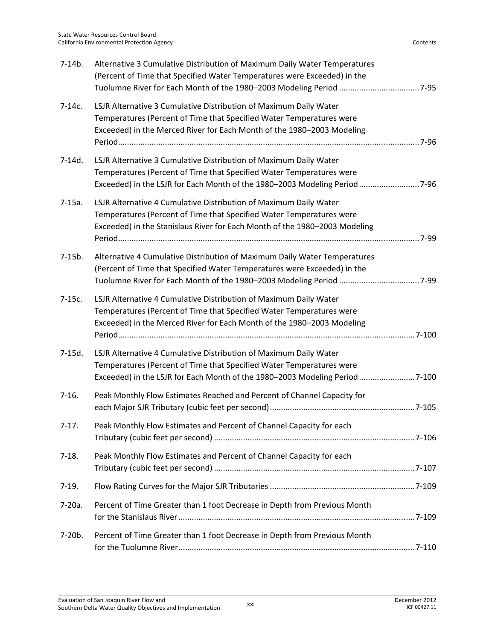| $7-14b.$ | Alternative 3 Cumulative Distribution of Maximum Daily Water Temperatures<br>(Percent of Time that Specified Water Temperatures were Exceeded) in the                                                                    |  |
|----------|--------------------------------------------------------------------------------------------------------------------------------------------------------------------------------------------------------------------------|--|
| $7-14c.$ | LSJR Alternative 3 Cumulative Distribution of Maximum Daily Water<br>Temperatures (Percent of Time that Specified Water Temperatures were<br>Exceeded) in the Merced River for Each Month of the 1980-2003 Modeling      |  |
| 7-14d.   | LSJR Alternative 3 Cumulative Distribution of Maximum Daily Water<br>Temperatures (Percent of Time that Specified Water Temperatures were<br>Exceeded) in the LSJR for Each Month of the 1980-2003 Modeling Period 7-96  |  |
| $7-15a.$ | LSJR Alternative 4 Cumulative Distribution of Maximum Daily Water<br>Temperatures (Percent of Time that Specified Water Temperatures were<br>Exceeded) in the Stanislaus River for Each Month of the 1980-2003 Modeling  |  |
| $7-15b.$ | Alternative 4 Cumulative Distribution of Maximum Daily Water Temperatures<br>(Percent of Time that Specified Water Temperatures were Exceeded) in the                                                                    |  |
| $7-15c.$ | LSJR Alternative 4 Cumulative Distribution of Maximum Daily Water<br>Temperatures (Percent of Time that Specified Water Temperatures were<br>Exceeded) in the Merced River for Each Month of the 1980-2003 Modeling      |  |
| 7-15d.   | LSJR Alternative 4 Cumulative Distribution of Maximum Daily Water<br>Temperatures (Percent of Time that Specified Water Temperatures were<br>Exceeded) in the LSJR for Each Month of the 1980–2003 Modeling Period 7-100 |  |
| $7-16.$  | Peak Monthly Flow Estimates Reached and Percent of Channel Capacity for                                                                                                                                                  |  |
| $7-17.$  | Peak Monthly Flow Estimates and Percent of Channel Capacity for each                                                                                                                                                     |  |
| $7-18.$  | Peak Monthly Flow Estimates and Percent of Channel Capacity for each                                                                                                                                                     |  |
| $7-19.$  |                                                                                                                                                                                                                          |  |
| 7-20a.   | Percent of Time Greater than 1 foot Decrease in Depth from Previous Month                                                                                                                                                |  |
| 7-20b.   | Percent of Time Greater than 1 foot Decrease in Depth from Previous Month                                                                                                                                                |  |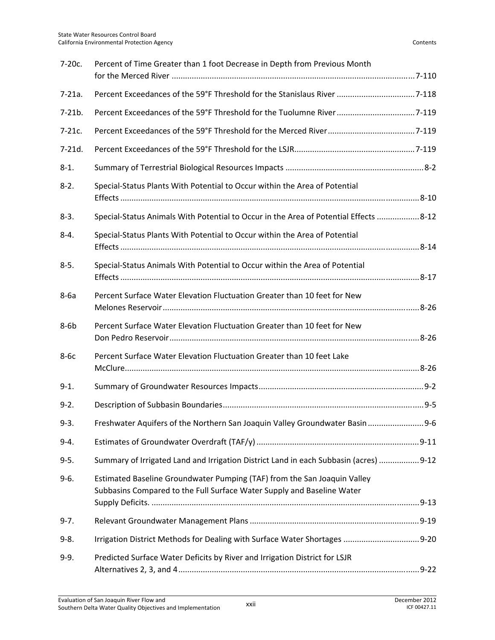| 7-20c.   | Percent of Time Greater than 1 foot Decrease in Depth from Previous Month                                                                          |  |
|----------|----------------------------------------------------------------------------------------------------------------------------------------------------|--|
| $7-21a.$ |                                                                                                                                                    |  |
| $7-21b.$ |                                                                                                                                                    |  |
| $7-21c.$ |                                                                                                                                                    |  |
| $7-21d.$ |                                                                                                                                                    |  |
| $8-1.$   |                                                                                                                                                    |  |
| $8-2.$   | Special-Status Plants With Potential to Occur within the Area of Potential                                                                         |  |
| $8-3.$   | Special-Status Animals With Potential to Occur in the Area of Potential Effects  8-12                                                              |  |
| $8 - 4.$ | Special-Status Plants With Potential to Occur within the Area of Potential                                                                         |  |
| $8 - 5.$ | Special-Status Animals With Potential to Occur within the Area of Potential                                                                        |  |
| $8-6a$   | Percent Surface Water Elevation Fluctuation Greater than 10 feet for New                                                                           |  |
| $8-6b$   | Percent Surface Water Elevation Fluctuation Greater than 10 feet for New                                                                           |  |
| $8-6c$   | Percent Surface Water Elevation Fluctuation Greater than 10 feet Lake                                                                              |  |
| $9-1.$   |                                                                                                                                                    |  |
| $9 - 2.$ |                                                                                                                                                    |  |
| $9 - 3.$ | Freshwater Aquifers of the Northern San Joaquin Valley Groundwater Basin  9-6                                                                      |  |
| $9 - 4.$ |                                                                                                                                                    |  |
| $9 - 5.$ | Summary of Irrigated Land and Irrigation District Land in each Subbasin (acres) 9-12                                                               |  |
| $9-6.$   | Estimated Baseline Groundwater Pumping (TAF) from the San Joaquin Valley<br>Subbasins Compared to the Full Surface Water Supply and Baseline Water |  |
| $9 - 7.$ |                                                                                                                                                    |  |
| $9 - 8.$ | Irrigation District Methods for Dealing with Surface Water Shortages  9-20                                                                         |  |
| $9 - 9.$ | Predicted Surface Water Deficits by River and Irrigation District for LSJR                                                                         |  |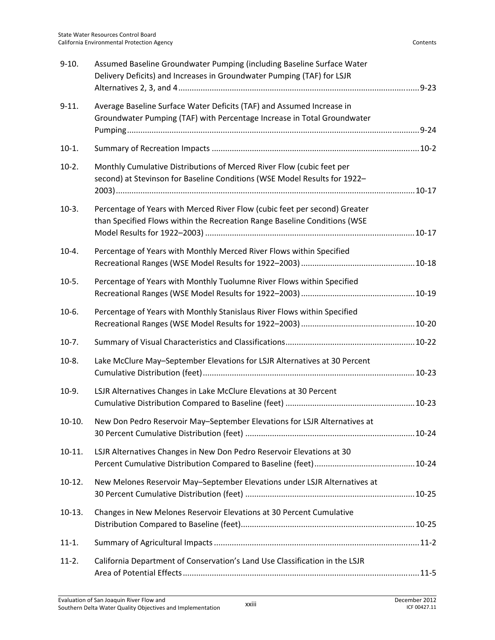| $9-10.$  | Assumed Baseline Groundwater Pumping (including Baseline Surface Water<br>Delivery Deficits) and Increases in Groundwater Pumping (TAF) for LSJR        |  |
|----------|---------------------------------------------------------------------------------------------------------------------------------------------------------|--|
| $9-11.$  | Average Baseline Surface Water Deficits (TAF) and Assumed Increase in<br>Groundwater Pumping (TAF) with Percentage Increase in Total Groundwater        |  |
| $10-1.$  |                                                                                                                                                         |  |
| $10-2.$  | Monthly Cumulative Distributions of Merced River Flow (cubic feet per<br>second) at Stevinson for Baseline Conditions (WSE Model Results for 1922-      |  |
| $10-3.$  | Percentage of Years with Merced River Flow (cubic feet per second) Greater<br>than Specified Flows within the Recreation Range Baseline Conditions (WSE |  |
| $10-4.$  | Percentage of Years with Monthly Merced River Flows within Specified                                                                                    |  |
| $10-5.$  | Percentage of Years with Monthly Tuolumne River Flows within Specified                                                                                  |  |
| $10-6.$  | Percentage of Years with Monthly Stanislaus River Flows within Specified                                                                                |  |
| $10-7.$  |                                                                                                                                                         |  |
| $10-8.$  | Lake McClure May-September Elevations for LSJR Alternatives at 30 Percent                                                                               |  |
| $10-9.$  | LSJR Alternatives Changes in Lake McClure Elevations at 30 Percent                                                                                      |  |
| $10-10.$ | New Don Pedro Reservoir May-September Elevations for LSJR Alternatives at                                                                               |  |
| $10-11.$ | LSJR Alternatives Changes in New Don Pedro Reservoir Elevations at 30                                                                                   |  |
| $10-12.$ | New Melones Reservoir May-September Elevations under LSJR Alternatives at                                                                               |  |
| $10-13.$ | Changes in New Melones Reservoir Elevations at 30 Percent Cumulative                                                                                    |  |
| $11-1.$  |                                                                                                                                                         |  |
| $11-2.$  | California Department of Conservation's Land Use Classification in the LSJR                                                                             |  |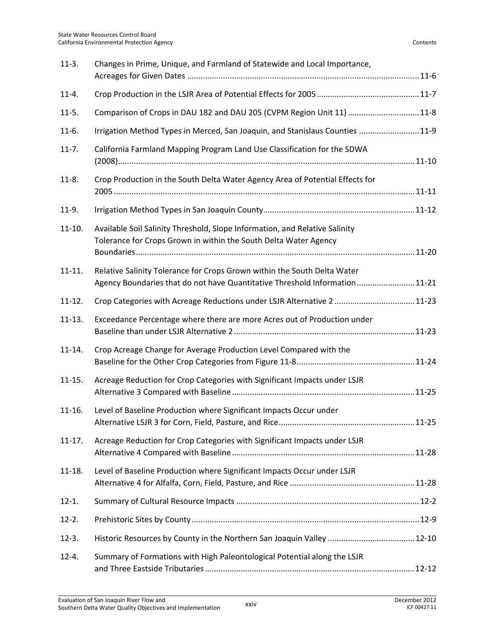| $11-3.$    | Changes in Prime, Unique, and Farmland of Statewide and Local Importance,                                                                               |  |
|------------|---------------------------------------------------------------------------------------------------------------------------------------------------------|--|
| $11-4.$    |                                                                                                                                                         |  |
| $11-5.$    | Comparison of Crops in DAU 182 and DAU 205 (CVPM Region Unit 11) 11-8                                                                                   |  |
| $11-6.$    | Irrigation Method Types in Merced, San Joaquin, and Stanislaus Counties 11-9                                                                            |  |
| $11-7.$    | California Farmland Mapping Program Land Use Classification for the SDWA                                                                                |  |
| $11-8.$    | Crop Production in the South Delta Water Agency Area of Potential Effects for                                                                           |  |
| $11-9.$    |                                                                                                                                                         |  |
| $11-10.$   | Available Soil Salinity Threshold, Slope Information, and Relative Salinity<br>Tolerance for Crops Grown in within the South Delta Water Agency         |  |
| $11 - 11.$ | Relative Salinity Tolerance for Crops Grown within the South Delta Water<br>Agency Boundaries that do not have Quantitative Threshold Information 11-21 |  |
| $11 - 12.$ | Crop Categories with Acreage Reductions under LSJR Alternative 2  11-23                                                                                 |  |
| $11-13.$   | Exceedance Percentage where there are more Acres out of Production under                                                                                |  |
| $11 - 14.$ | Crop Acreage Change for Average Production Level Compared with the                                                                                      |  |
| $11-15.$   | Acreage Reduction for Crop Categories with Significant Impacts under LSJR                                                                               |  |
| $11-16.$   | Level of Baseline Production where Significant Impacts Occur under                                                                                      |  |
| $11-17.$   | Acreage Reduction for Crop Categories with Significant Impacts under LSJR                                                                               |  |
| $11 - 18.$ | Level of Baseline Production where Significant Impacts Occur under LSJR                                                                                 |  |
| $12 - 1.$  |                                                                                                                                                         |  |
| $12-2.$    |                                                                                                                                                         |  |
| $12-3.$    |                                                                                                                                                         |  |
| $12 - 4.$  | Summary of Formations with High Paleontological Potential along the LSJR                                                                                |  |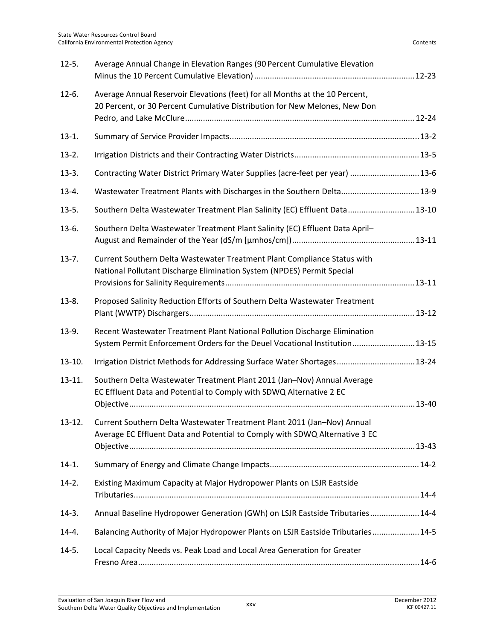| $12-5.$   | Average Annual Change in Elevation Ranges (90 Percent Cumulative Elevation                                                                                 |  |
|-----------|------------------------------------------------------------------------------------------------------------------------------------------------------------|--|
| $12-6.$   | Average Annual Reservoir Elevations (feet) for all Months at the 10 Percent,<br>20 Percent, or 30 Percent Cumulative Distribution for New Melones, New Don |  |
| $13-1.$   |                                                                                                                                                            |  |
| $13-2.$   |                                                                                                                                                            |  |
| $13-3.$   | Contracting Water District Primary Water Supplies (acre-feet per year)  13-6                                                                               |  |
| $13-4.$   | Wastewater Treatment Plants with Discharges in the Southern Delta 13-9                                                                                     |  |
| $13-5.$   | Southern Delta Wastewater Treatment Plan Salinity (EC) Effluent Data 13-10                                                                                 |  |
| $13-6.$   | Southern Delta Wastewater Treatment Plant Salinity (EC) Effluent Data April-                                                                               |  |
| $13-7.$   | Current Southern Delta Wastewater Treatment Plant Compliance Status with<br>National Pollutant Discharge Elimination System (NPDES) Permit Special         |  |
| $13-8.$   | Proposed Salinity Reduction Efforts of Southern Delta Wastewater Treatment                                                                                 |  |
| 13-9.     | Recent Wastewater Treatment Plant National Pollution Discharge Elimination<br>System Permit Enforcement Orders for the Deuel Vocational Institution 13-15  |  |
| $13-10.$  | Irrigation District Methods for Addressing Surface Water Shortages 13-24                                                                                   |  |
| $13-11.$  | Southern Delta Wastewater Treatment Plant 2011 (Jan-Nov) Annual Average<br>EC Effluent Data and Potential to Comply with SDWQ Alternative 2 EC             |  |
| $13-12.$  | Current Southern Delta Wastewater Treatment Plant 2011 (Jan-Nov) Annual<br>Average EC Effluent Data and Potential to Comply with SDWQ Alternative 3 EC     |  |
| $14-1.$   |                                                                                                                                                            |  |
| $14-2.$   | Existing Maximum Capacity at Major Hydropower Plants on LSJR Eastside                                                                                      |  |
| $14-3.$   | Annual Baseline Hydropower Generation (GWh) on LSJR Eastside Tributaries 14-4                                                                              |  |
| $14 - 4.$ | Balancing Authority of Major Hydropower Plants on LSJR Eastside Tributaries 14-5                                                                           |  |
| $14-5.$   | Local Capacity Needs vs. Peak Load and Local Area Generation for Greater                                                                                   |  |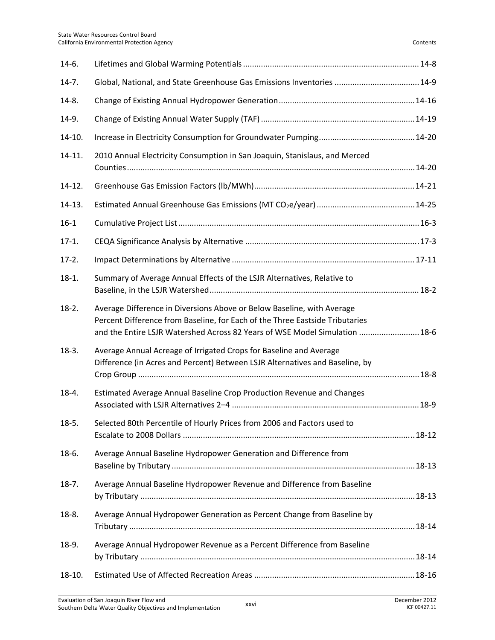| $14-6.$  |                                                                                                                                                                                                                                       |  |
|----------|---------------------------------------------------------------------------------------------------------------------------------------------------------------------------------------------------------------------------------------|--|
| $14-7.$  | Global, National, and State Greenhouse Gas Emissions Inventories  14-9                                                                                                                                                                |  |
| $14-8.$  |                                                                                                                                                                                                                                       |  |
| 14-9.    |                                                                                                                                                                                                                                       |  |
| 14-10.   |                                                                                                                                                                                                                                       |  |
| 14-11.   | 2010 Annual Electricity Consumption in San Joaquin, Stanislaus, and Merced                                                                                                                                                            |  |
| $14-12.$ |                                                                                                                                                                                                                                       |  |
| 14-13.   |                                                                                                                                                                                                                                       |  |
| $16-1$   |                                                                                                                                                                                                                                       |  |
| $17-1.$  |                                                                                                                                                                                                                                       |  |
| $17-2.$  |                                                                                                                                                                                                                                       |  |
| $18-1.$  | Summary of Average Annual Effects of the LSJR Alternatives, Relative to                                                                                                                                                               |  |
| $18-2.$  | Average Difference in Diversions Above or Below Baseline, with Average<br>Percent Difference from Baseline, for Each of the Three Eastside Tributaries<br>and the Entire LSJR Watershed Across 82 Years of WSE Model Simulation  18-6 |  |
| $18-3.$  | Average Annual Acreage of Irrigated Crops for Baseline and Average<br>Difference (in Acres and Percent) Between LSJR Alternatives and Baseline, by                                                                                    |  |
| $18-4.$  | Estimated Average Annual Baseline Crop Production Revenue and Changes                                                                                                                                                                 |  |
| $18-5.$  | Selected 80th Percentile of Hourly Prices from 2006 and Factors used to                                                                                                                                                               |  |
| 18-6.    | Average Annual Baseline Hydropower Generation and Difference from                                                                                                                                                                     |  |
| $18-7.$  | Average Annual Baseline Hydropower Revenue and Difference from Baseline                                                                                                                                                               |  |
| 18-8.    | Average Annual Hydropower Generation as Percent Change from Baseline by                                                                                                                                                               |  |
| 18-9.    | Average Annual Hydropower Revenue as a Percent Difference from Baseline                                                                                                                                                               |  |
| 18-10.   |                                                                                                                                                                                                                                       |  |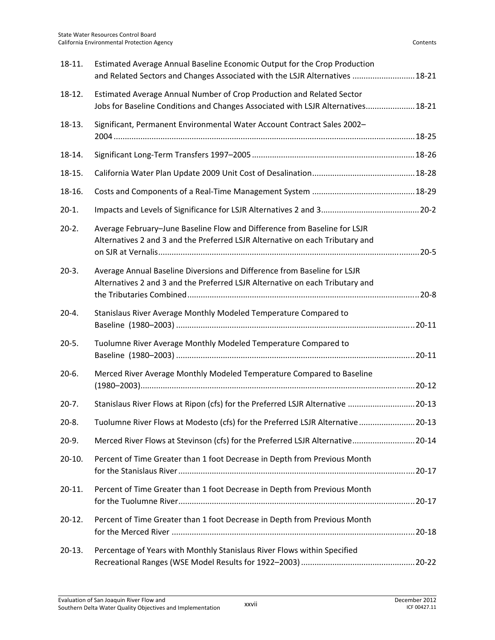| 18-11.    | Estimated Average Annual Baseline Economic Output for the Crop Production<br>and Related Sectors and Changes Associated with the LSJR Alternatives  18-21  |  |
|-----------|------------------------------------------------------------------------------------------------------------------------------------------------------------|--|
| 18-12.    | Estimated Average Annual Number of Crop Production and Related Sector<br>Jobs for Baseline Conditions and Changes Associated with LSJR Alternatives 18-21  |  |
| 18-13.    | Significant, Permanent Environmental Water Account Contract Sales 2002-                                                                                    |  |
| 18-14.    |                                                                                                                                                            |  |
| 18-15.    |                                                                                                                                                            |  |
| 18-16.    |                                                                                                                                                            |  |
| $20-1.$   |                                                                                                                                                            |  |
| $20-2.$   | Average February-June Baseline Flow and Difference from Baseline for LSJR<br>Alternatives 2 and 3 and the Preferred LSJR Alternative on each Tributary and |  |
| $20-3.$   | Average Annual Baseline Diversions and Difference from Baseline for LSJR<br>Alternatives 2 and 3 and the Preferred LSJR Alternative on each Tributary and  |  |
| $20 - 4.$ | Stanislaus River Average Monthly Modeled Temperature Compared to                                                                                           |  |
| $20-5.$   | Tuolumne River Average Monthly Modeled Temperature Compared to                                                                                             |  |
| $20-6.$   | Merced River Average Monthly Modeled Temperature Compared to Baseline                                                                                      |  |
| $20-7.$   | Stanislaus River Flows at Ripon (cfs) for the Preferred LSJR Alternative  20-13                                                                            |  |
| $20-8.$   | Tuolumne River Flows at Modesto (cfs) for the Preferred LSJR Alternative  20-13                                                                            |  |
| $20-9.$   | Merced River Flows at Stevinson (cfs) for the Preferred LSJR Alternative 20-14                                                                             |  |
| $20-10.$  | Percent of Time Greater than 1 foot Decrease in Depth from Previous Month                                                                                  |  |
| $20-11.$  | Percent of Time Greater than 1 foot Decrease in Depth from Previous Month                                                                                  |  |
| $20-12.$  | Percent of Time Greater than 1 foot Decrease in Depth from Previous Month                                                                                  |  |
| $20-13.$  | Percentage of Years with Monthly Stanislaus River Flows within Specified                                                                                   |  |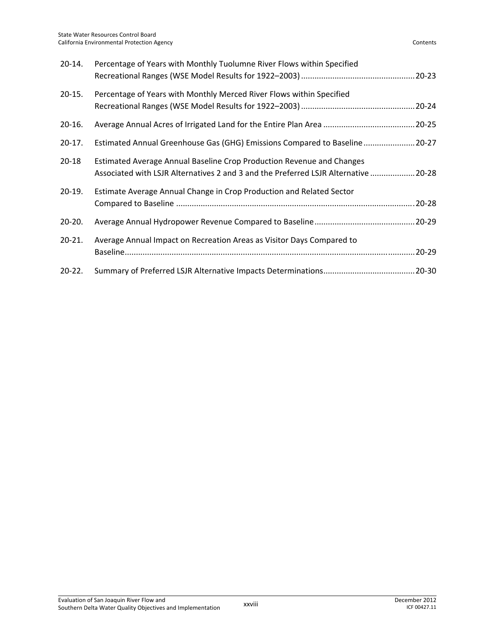| $20 - 14.$ | Percentage of Years with Monthly Tuolumne River Flows within Specified                                                                                       |
|------------|--------------------------------------------------------------------------------------------------------------------------------------------------------------|
| $20-15.$   | Percentage of Years with Monthly Merced River Flows within Specified                                                                                         |
| $20-16.$   |                                                                                                                                                              |
| $20-17.$   | Estimated Annual Greenhouse Gas (GHG) Emissions Compared to Baseline 20-27                                                                                   |
| $20 - 18$  | Estimated Average Annual Baseline Crop Production Revenue and Changes<br>Associated with LSJR Alternatives 2 and 3 and the Preferred LSJR Alternative  20-28 |
| $20-19.$   | Estimate Average Annual Change in Crop Production and Related Sector<br>20-28                                                                                |
| $20 - 20.$ |                                                                                                                                                              |
| $20 - 21.$ | Average Annual Impact on Recreation Areas as Visitor Days Compared to                                                                                        |
| $20 - 22.$ |                                                                                                                                                              |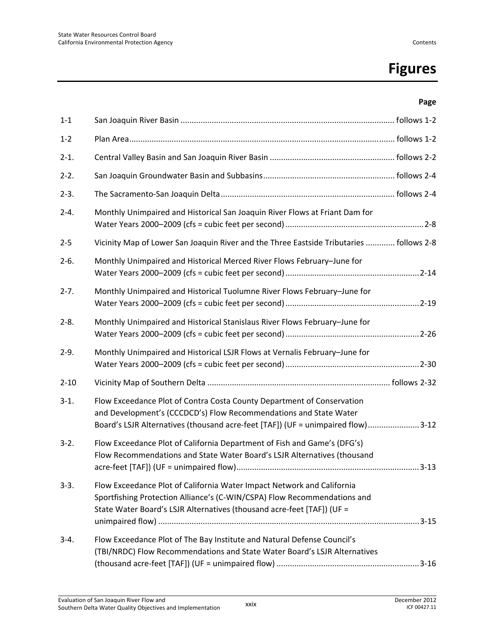# **Figures**

#### **Page**

| $1 - 1$   |                                                                                                                                                                                                                                 |  |
|-----------|---------------------------------------------------------------------------------------------------------------------------------------------------------------------------------------------------------------------------------|--|
| $1 - 2$   |                                                                                                                                                                                                                                 |  |
| $2 - 1$ . |                                                                                                                                                                                                                                 |  |
| $2-2.$    |                                                                                                                                                                                                                                 |  |
| $2-3.$    |                                                                                                                                                                                                                                 |  |
| $2 - 4.$  | Monthly Unimpaired and Historical San Joaquin River Flows at Friant Dam for                                                                                                                                                     |  |
| $2 - 5$   | Vicinity Map of Lower San Joaquin River and the Three Eastside Tributaries  follows 2-8                                                                                                                                         |  |
| $2-6.$    | Monthly Unimpaired and Historical Merced River Flows February-June for                                                                                                                                                          |  |
| $2 - 7.$  | Monthly Unimpaired and Historical Tuolumne River Flows February-June for                                                                                                                                                        |  |
| $2 - 8.$  | Monthly Unimpaired and Historical Stanislaus River Flows February-June for                                                                                                                                                      |  |
| $2-9.$    | Monthly Unimpaired and Historical LSJR Flows at Vernalis February-June for                                                                                                                                                      |  |
| $2 - 10$  |                                                                                                                                                                                                                                 |  |
| $3-1.$    | Flow Exceedance Plot of Contra Costa County Department of Conservation<br>and Development's (CCCDCD's) Flow Recommendations and State Water<br>Board's LSJR Alternatives (thousand acre-feet [TAF]) (UF = unimpaired flow) 3-12 |  |
| $3-2.$    | Flow Exceedance Plot of California Department of Fish and Game's (DFG's)<br>Flow Recommendations and State Water Board's LSJR Alternatives (thousand                                                                            |  |
| $3-3.$    | Flow Exceedance Plot of California Water Impact Network and California<br>Sportfishing Protection Alliance's (C-WIN/CSPA) Flow Recommendations and<br>State Water Board's LSJR Alternatives (thousand acre-feet [TAF]) (UF =    |  |
| $3-4.$    | Flow Exceedance Plot of The Bay Institute and Natural Defense Council's<br>(TBI/NRDC) Flow Recommendations and State Water Board's LSJR Alternatives                                                                            |  |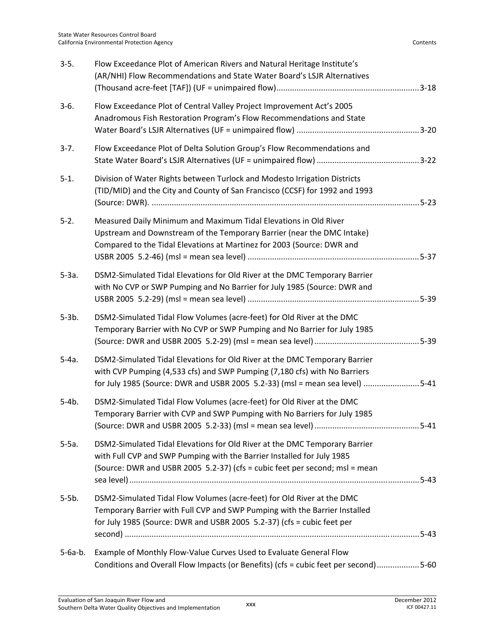| $3-5.$    | Flow Exceedance Plot of American Rivers and Natural Heritage Institute's<br>(AR/NHI) Flow Recommendations and State Water Board's LSJR Alternatives                                                                                     |
|-----------|-----------------------------------------------------------------------------------------------------------------------------------------------------------------------------------------------------------------------------------------|
| $3-6.$    | Flow Exceedance Plot of Central Valley Project Improvement Act's 2005<br>Anadromous Fish Restoration Program's Flow Recommendations and State                                                                                           |
| $3-7.$    | Flow Exceedance Plot of Delta Solution Group's Flow Recommendations and                                                                                                                                                                 |
| $5-1.$    | Division of Water Rights between Turlock and Modesto Irrigation Districts<br>(TID/MID) and the City and County of San Francisco (CCSF) for 1992 and 1993                                                                                |
| $5-2.$    | Measured Daily Minimum and Maximum Tidal Elevations in Old River<br>Upstream and Downstream of the Temporary Barrier (near the DMC Intake)<br>Compared to the Tidal Elevations at Martinez for 2003 (Source: DWR and                    |
| $5-3a.$   | DSM2-Simulated Tidal Elevations for Old River at the DMC Temporary Barrier<br>with No CVP or SWP Pumping and No Barrier for July 1985 (Source: DWR and                                                                                  |
| $5-3b.$   | DSM2-Simulated Tidal Flow Volumes (acre-feet) for Old River at the DMC<br>Temporary Barrier with No CVP or SWP Pumping and No Barrier for July 1985                                                                                     |
| $5-4a.$   | DSM2-Simulated Tidal Elevations for Old River at the DMC Temporary Barrier<br>with CVP Pumping (4,533 cfs) and SWP Pumping (7,180 cfs) with No Barriers<br>for July 1985 (Source: DWR and USBR 2005 5.2-33) (msl = mean sea level) 5-41 |
| $5-4b.$   | DSM2-Simulated Tidal Flow Volumes (acre-feet) for Old River at the DMC<br>Temporary Barrier with CVP and SWP Pumping with No Barriers for July 1985                                                                                     |
| $5-5a.$   | DSM2-Simulated Tidal Elevations for Old River at the DMC Temporary Barrier<br>with Full CVP and SWP Pumping with the Barrier Installed for July 1985<br>(Source: DWR and USBR 2005 5.2-37) (cfs = cubic feet per second; msl = mean     |
| $5-5b.$   | DSM2-Simulated Tidal Flow Volumes (acre-feet) for Old River at the DMC<br>Temporary Barrier with Full CVP and SWP Pumping with the Barrier Installed<br>for July 1985 (Source: DWR and USBR 2005 5.2-37) (cfs = cubic feet per          |
| $5-6a-b.$ | Example of Monthly Flow-Value Curves Used to Evaluate General Flow<br>Conditions and Overall Flow Impacts (or Benefits) (cfs = cubic feet per second)5-60                                                                               |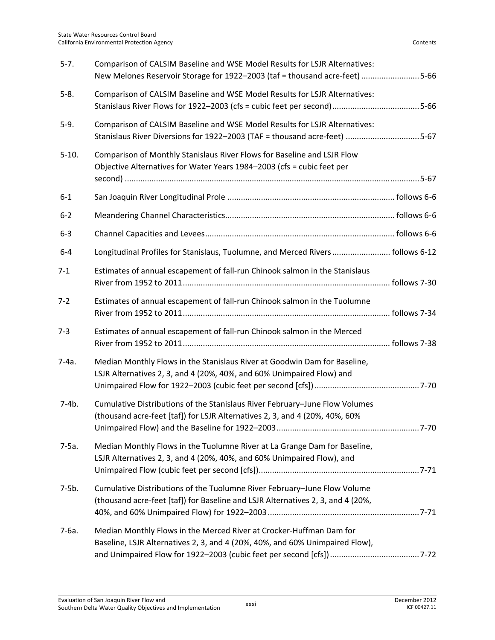| $5 - 7.$ | Comparison of CALSIM Baseline and WSE Model Results for LSJR Alternatives:<br>New Melones Reservoir Storage for 1922-2003 (taf = thousand acre-feet) 5-66   |  |
|----------|-------------------------------------------------------------------------------------------------------------------------------------------------------------|--|
| $5-8.$   | Comparison of CALSIM Baseline and WSE Model Results for LSJR Alternatives:<br>Stanislaus River Flows for 1922-2003 (cfs = cubic feet per second)5-66        |  |
| $5-9.$   | Comparison of CALSIM Baseline and WSE Model Results for LSJR Alternatives:<br>Stanislaus River Diversions for 1922-2003 (TAF = thousand acre-feet) 5-67     |  |
| $5-10.$  | Comparison of Monthly Stanislaus River Flows for Baseline and LSJR Flow<br>Objective Alternatives for Water Years 1984-2003 (cfs = cubic feet per           |  |
| $6 - 1$  |                                                                                                                                                             |  |
| $6 - 2$  |                                                                                                                                                             |  |
| $6 - 3$  |                                                                                                                                                             |  |
| $6 - 4$  | Longitudinal Profiles for Stanislaus, Tuolumne, and Merced Rivers  follows 6-12                                                                             |  |
| $7 - 1$  | Estimates of annual escapement of fall-run Chinook salmon in the Stanislaus                                                                                 |  |
| $7 - 2$  | Estimates of annual escapement of fall-run Chinook salmon in the Tuolumne                                                                                   |  |
| $7-3$    | Estimates of annual escapement of fall-run Chinook salmon in the Merced                                                                                     |  |
| $7-4a.$  | Median Monthly Flows in the Stanislaus River at Goodwin Dam for Baseline,<br>LSJR Alternatives 2, 3, and 4 (20%, 40%, and 60% Unimpaired Flow) and          |  |
| $7-4b.$  | Cumulative Distributions of the Stanislaus River February-June Flow Volumes<br>(thousand acre-feet [taf]) for LSJR Alternatives 2, 3, and 4 (20%, 40%, 60%  |  |
| $7-5a.$  | Median Monthly Flows in the Tuolumne River at La Grange Dam for Baseline,<br>LSJR Alternatives 2, 3, and 4 (20%, 40%, and 60% Unimpaired Flow), and         |  |
| $7-5b.$  | Cumulative Distributions of the Tuolumne River February-June Flow Volume<br>(thousand acre-feet [taf]) for Baseline and LSJR Alternatives 2, 3, and 4 (20%, |  |
| $7-6a.$  | Median Monthly Flows in the Merced River at Crocker-Huffman Dam for<br>Baseline, LSJR Alternatives 2, 3, and 4 (20%, 40%, and 60% Unimpaired Flow),         |  |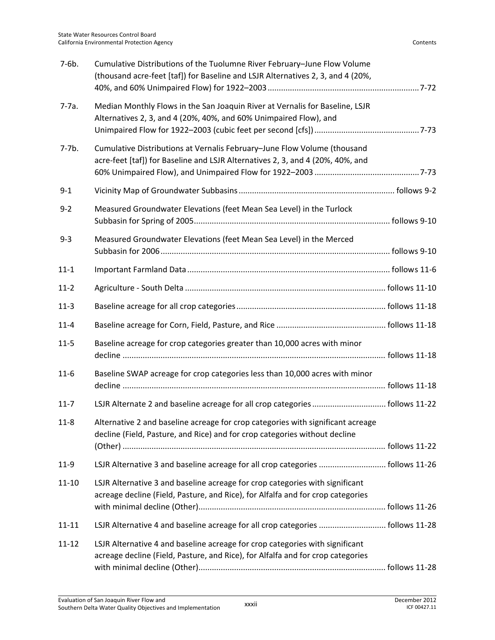| $7-6b.$   | Cumulative Distributions of the Tuolumne River February-June Flow Volume<br>(thousand acre-feet [taf]) for Baseline and LSJR Alternatives 2, 3, and 4 (20%,     |  |
|-----------|-----------------------------------------------------------------------------------------------------------------------------------------------------------------|--|
| $7-7a.$   | Median Monthly Flows in the San Joaquin River at Vernalis for Baseline, LSJR<br>Alternatives 2, 3, and 4 (20%, 40%, and 60% Unimpaired Flow), and               |  |
| $7-7b.$   | Cumulative Distributions at Vernalis February-June Flow Volume (thousand<br>acre-feet [taf]) for Baseline and LSJR Alternatives 2, 3, and 4 (20%, 40%, and      |  |
| $9 - 1$   |                                                                                                                                                                 |  |
| $9 - 2$   | Measured Groundwater Elevations (feet Mean Sea Level) in the Turlock                                                                                            |  |
| $9 - 3$   | Measured Groundwater Elevations (feet Mean Sea Level) in the Merced                                                                                             |  |
| $11 - 1$  |                                                                                                                                                                 |  |
| $11 - 2$  |                                                                                                                                                                 |  |
| $11-3$    |                                                                                                                                                                 |  |
| $11 - 4$  |                                                                                                                                                                 |  |
| $11 - 5$  | Baseline acreage for crop categories greater than 10,000 acres with minor                                                                                       |  |
| $11-6$    | Baseline SWAP acreage for crop categories less than 10,000 acres with minor                                                                                     |  |
| $11 - 7$  |                                                                                                                                                                 |  |
| $11 - 8$  | Alternative 2 and baseline acreage for crop categories with significant acreage<br>decline (Field, Pasture, and Rice) and for crop categories without decline   |  |
|           |                                                                                                                                                                 |  |
| $11-9$    | LSJR Alternative 3 and baseline acreage for all crop categories  follows 11-26                                                                                  |  |
| $11 - 10$ | LSJR Alternative 3 and baseline acreage for crop categories with significant<br>acreage decline (Field, Pasture, and Rice), for Alfalfa and for crop categories |  |
| $11 - 11$ | LSJR Alternative 4 and baseline acreage for all crop categories  follows 11-28                                                                                  |  |
| $11 - 12$ | LSJR Alternative 4 and baseline acreage for crop categories with significant<br>acreage decline (Field, Pasture, and Rice), for Alfalfa and for crop categories |  |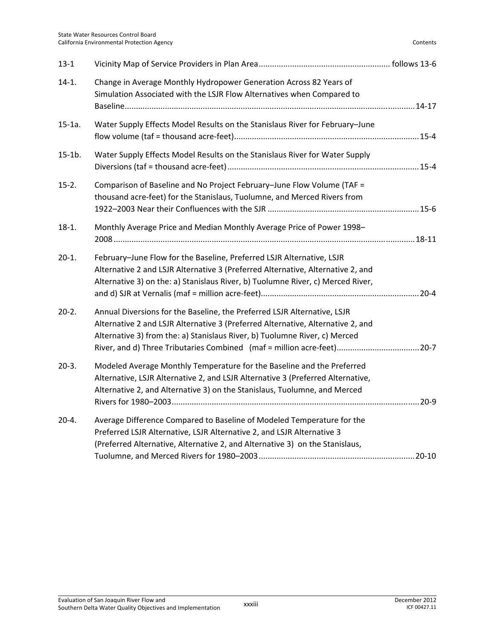| $13 - 1$  |                                                                                                                                                                                                                                                                                                                      |  |
|-----------|----------------------------------------------------------------------------------------------------------------------------------------------------------------------------------------------------------------------------------------------------------------------------------------------------------------------|--|
| $14-1.$   | Change in Average Monthly Hydropower Generation Across 82 Years of<br>Simulation Associated with the LSJR Flow Alternatives when Compared to                                                                                                                                                                         |  |
| $15-1a.$  | Water Supply Effects Model Results on the Stanislaus River for February-June                                                                                                                                                                                                                                         |  |
| $15-1b.$  | Water Supply Effects Model Results on the Stanislaus River for Water Supply                                                                                                                                                                                                                                          |  |
| $15-2.$   | Comparison of Baseline and No Project February-June Flow Volume (TAF =<br>thousand acre-feet) for the Stanislaus, Tuolumne, and Merced Rivers from                                                                                                                                                                   |  |
| $18-1.$   | Monthly Average Price and Median Monthly Average Price of Power 1998-                                                                                                                                                                                                                                                |  |
| $20-1.$   | February-June Flow for the Baseline, Preferred LSJR Alternative, LSJR<br>Alternative 2 and LSJR Alternative 3 (Preferred Alternative, Alternative 2, and<br>Alternative 3) on the: a) Stanislaus River, b) Tuolumne River, c) Merced River,                                                                          |  |
| $20-2.$   | Annual Diversions for the Baseline, the Preferred LSJR Alternative, LSJR<br>Alternative 2 and LSJR Alternative 3 (Preferred Alternative, Alternative 2, and<br>Alternative 3) from the: a) Stanislaus River, b) Tuolumne River, c) Merced<br>River, and d) Three Tributaries Combined (maf = million acre-feet) 20-7 |  |
| $20-3.$   | Modeled Average Monthly Temperature for the Baseline and the Preferred<br>Alternative, LSJR Alternative 2, and LSJR Alternative 3 (Preferred Alternative,<br>Alternative 2, and Alternative 3) on the Stanislaus, Tuolumne, and Merced                                                                               |  |
| $20 - 4.$ | Average Difference Compared to Baseline of Modeled Temperature for the<br>Preferred LSJR Alternative, LSJR Alternative 2, and LSJR Alternative 3<br>(Preferred Alternative, Alternative 2, and Alternative 3) on the Stanislaus,                                                                                     |  |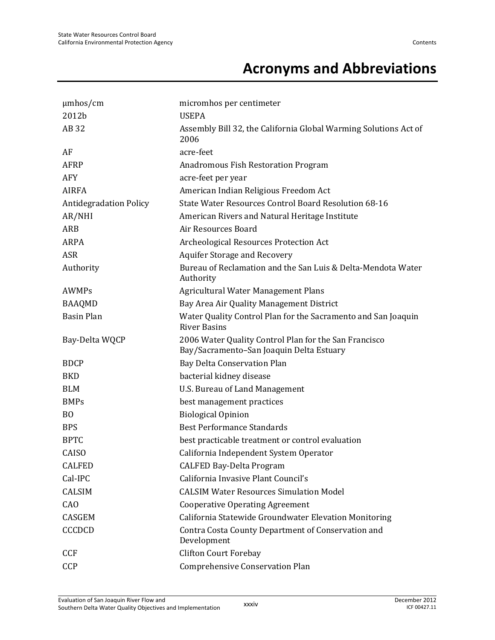## **Acronyms and Abbreviations**

| $\mu$ mhos/cm                 | micromhos per centimeter                                                                          |
|-------------------------------|---------------------------------------------------------------------------------------------------|
| 2012b                         | <b>USEPA</b>                                                                                      |
| AB 32                         | Assembly Bill 32, the California Global Warming Solutions Act of<br>2006                          |
| AF                            | acre-feet                                                                                         |
| <b>AFRP</b>                   | Anadromous Fish Restoration Program                                                               |
| <b>AFY</b>                    | acre-feet per year                                                                                |
| <b>AIRFA</b>                  | American Indian Religious Freedom Act                                                             |
| <b>Antidegradation Policy</b> | State Water Resources Control Board Resolution 68-16                                              |
| AR/NHI                        | American Rivers and Natural Heritage Institute                                                    |
| ARB                           | Air Resources Board                                                                               |
| ARPA                          | Archeological Resources Protection Act                                                            |
| <b>ASR</b>                    | <b>Aquifer Storage and Recovery</b>                                                               |
| Authority                     | Bureau of Reclamation and the San Luis & Delta-Mendota Water<br>Authority                         |
| <b>AWMPs</b>                  | <b>Agricultural Water Management Plans</b>                                                        |
| <b>BAAQMD</b>                 | Bay Area Air Quality Management District                                                          |
| <b>Basin Plan</b>             | Water Quality Control Plan for the Sacramento and San Joaquin<br><b>River Basins</b>              |
| Bay-Delta WQCP                | 2006 Water Quality Control Plan for the San Francisco<br>Bay/Sacramento-San Joaquin Delta Estuary |
| <b>BDCP</b>                   | Bay Delta Conservation Plan                                                                       |
| <b>BKD</b>                    | bacterial kidney disease                                                                          |
| <b>BLM</b>                    | U.S. Bureau of Land Management                                                                    |
| <b>BMPs</b>                   | best management practices                                                                         |
| B <sub>O</sub>                | <b>Biological Opinion</b>                                                                         |
| <b>BPS</b>                    | <b>Best Performance Standards</b>                                                                 |
| <b>BPTC</b>                   | best practicable treatment or control evaluation                                                  |
| CAISO                         | California Independent System Operator                                                            |
| <b>CALFED</b>                 | <b>CALFED Bay-Delta Program</b>                                                                   |
| Cal-IPC                       | California Invasive Plant Council's                                                               |
| <b>CALSIM</b>                 | <b>CALSIM Water Resources Simulation Model</b>                                                    |
| CA <sub>O</sub>               | <b>Cooperative Operating Agreement</b>                                                            |
| CASGEM                        | California Statewide Groundwater Elevation Monitoring                                             |
| <b>CCCDCD</b>                 | Contra Costa County Department of Conservation and<br>Development                                 |
| <b>CCF</b>                    | <b>Clifton Court Forebay</b>                                                                      |
| CCP                           | <b>Comprehensive Conservation Plan</b>                                                            |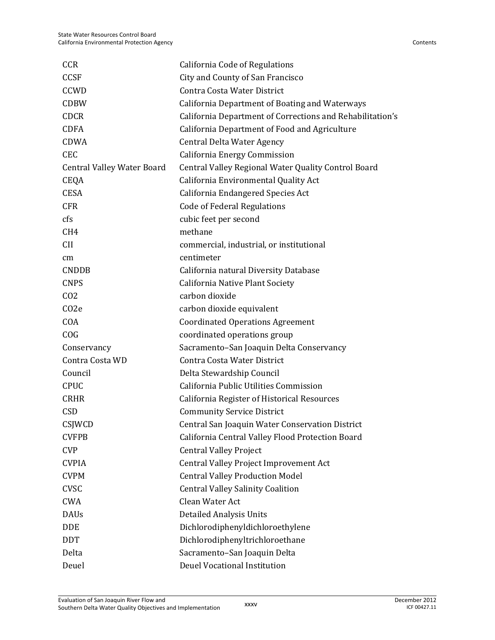| <b>CCR</b>                        | California Code of Regulations                            |
|-----------------------------------|-----------------------------------------------------------|
| <b>CCSF</b>                       | City and County of San Francisco                          |
| <b>CCWD</b>                       | Contra Costa Water District                               |
| <b>CDBW</b>                       | <b>California Department of Boating and Waterways</b>     |
| <b>CDCR</b>                       | California Department of Corrections and Rehabilitation's |
| <b>CDFA</b>                       | California Department of Food and Agriculture             |
| <b>CDWA</b>                       | Central Delta Water Agency                                |
| <b>CEC</b>                        | California Energy Commission                              |
| <b>Central Valley Water Board</b> | Central Valley Regional Water Quality Control Board       |
| <b>CEQA</b>                       | California Environmental Quality Act                      |
| <b>CESA</b>                       | California Endangered Species Act                         |
| <b>CFR</b>                        | <b>Code of Federal Regulations</b>                        |
| cfs                               | cubic feet per second                                     |
| CH <sub>4</sub>                   | methane                                                   |
| <b>CII</b>                        | commercial, industrial, or institutional                  |
| cm                                | centimeter                                                |
| <b>CNDDB</b>                      | California natural Diversity Database                     |
| <b>CNPS</b>                       | California Native Plant Society                           |
| CO <sub>2</sub>                   | carbon dioxide                                            |
| C <sub>O</sub> 2e                 | carbon dioxide equivalent                                 |
| COA                               | <b>Coordinated Operations Agreement</b>                   |
| COG                               | coordinated operations group                              |
| Conservancy                       | Sacramento-San Joaquin Delta Conservancy                  |
| Contra Costa WD                   | Contra Costa Water District                               |
| Council                           | Delta Stewardship Council                                 |
| <b>CPUC</b>                       | California Public Utilities Commission                    |
| <b>CRHR</b>                       | California Register of Historical Resources               |
| <b>CSD</b>                        | <b>Community Service District</b>                         |
| CSJWCD                            | Central San Joaquin Water Conservation District           |
| <b>CVFPB</b>                      | California Central Valley Flood Protection Board          |
| <b>CVP</b>                        | <b>Central Valley Project</b>                             |
| <b>CVPIA</b>                      | Central Valley Project Improvement Act                    |
| <b>CVPM</b>                       | <b>Central Valley Production Model</b>                    |
| <b>CVSC</b>                       | <b>Central Valley Salinity Coalition</b>                  |
| <b>CWA</b>                        | Clean Water Act                                           |
| <b>DAUs</b>                       | <b>Detailed Analysis Units</b>                            |
| <b>DDE</b>                        | Dichlorodiphenyldichloroethylene                          |
| <b>DDT</b>                        | Dichlorodiphenyltrichloroethane                           |
| Delta                             | Sacramento-San Joaquin Delta                              |
| Deuel                             | Deuel Vocational Institution                              |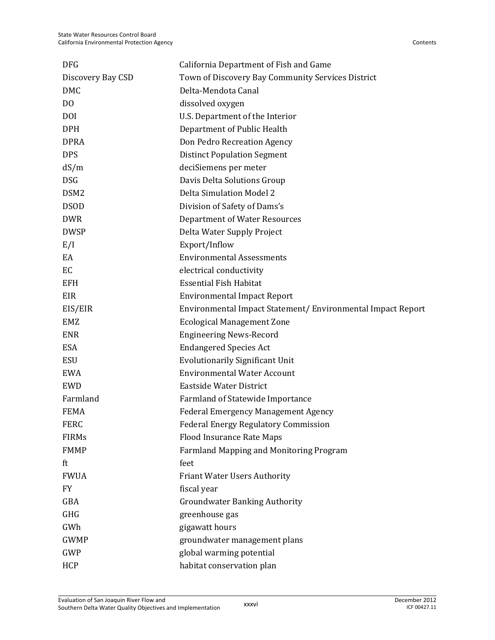| <b>DFG</b>        | California Department of Fish and Game                      |
|-------------------|-------------------------------------------------------------|
| Discovery Bay CSD | Town of Discovery Bay Community Services District           |
| <b>DMC</b>        | Delta-Mendota Canal                                         |
| D <sub>O</sub>    | dissolved oxygen                                            |
| <b>DOI</b>        | U.S. Department of the Interior                             |
| <b>DPH</b>        | Department of Public Health                                 |
| <b>DPRA</b>       | Don Pedro Recreation Agency                                 |
| <b>DPS</b>        | <b>Distinct Population Segment</b>                          |
| dS/m              | deciSiemens per meter                                       |
| <b>DSG</b>        | Davis Delta Solutions Group                                 |
| DSM <sub>2</sub>  | <b>Delta Simulation Model 2</b>                             |
| <b>DSOD</b>       | Division of Safety of Dams's                                |
| <b>DWR</b>        | <b>Department of Water Resources</b>                        |
| <b>DWSP</b>       | Delta Water Supply Project                                  |
| E/I               | Export/Inflow                                               |
| EA                | <b>Environmental Assessments</b>                            |
| EC                | electrical conductivity                                     |
| <b>EFH</b>        | <b>Essential Fish Habitat</b>                               |
| EIR               | <b>Environmental Impact Report</b>                          |
| EIS/EIR           | Environmental Impact Statement/ Environmental Impact Report |
| EMZ               | <b>Ecological Management Zone</b>                           |
| <b>ENR</b>        | <b>Engineering News-Record</b>                              |
| <b>ESA</b>        | <b>Endangered Species Act</b>                               |
| <b>ESU</b>        | <b>Evolutionarily Significant Unit</b>                      |
| <b>EWA</b>        | <b>Environmental Water Account</b>                          |
| <b>EWD</b>        | Eastside Water District                                     |
| Farmland          | Farmland of Statewide Importance                            |
| <b>FEMA</b>       | <b>Federal Emergency Management Agency</b>                  |
| <b>FERC</b>       | <b>Federal Energy Regulatory Commission</b>                 |
| <b>FIRMs</b>      | <b>Flood Insurance Rate Maps</b>                            |
| <b>FMMP</b>       | Farmland Mapping and Monitoring Program                     |
| ft                | feet                                                        |
| <b>FWUA</b>       | <b>Friant Water Users Authority</b>                         |
| <b>FY</b>         | fiscal year                                                 |
| GBA               | <b>Groundwater Banking Authority</b>                        |
| <b>GHG</b>        | greenhouse gas                                              |
| GWh               | gigawatt hours                                              |
| <b>GWMP</b>       | groundwater management plans                                |
| GWP               | global warming potential                                    |
| HCP               | habitat conservation plan                                   |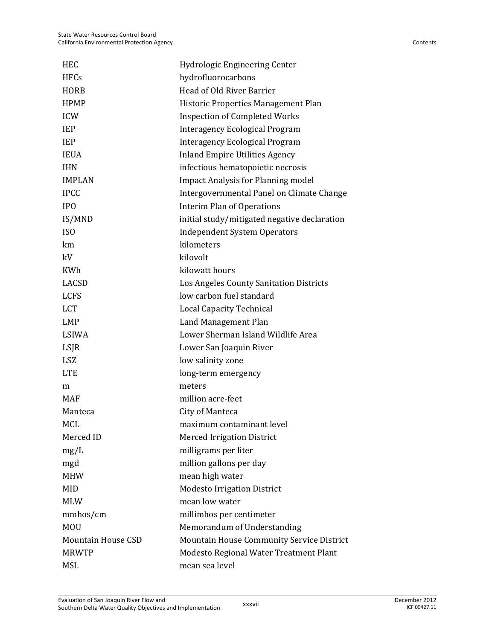| <b>HEC</b>                | Hydrologic Engineering Center                    |
|---------------------------|--------------------------------------------------|
| <b>HFCs</b>               | hydrofluorocarbons                               |
| <b>HORB</b>               | Head of Old River Barrier                        |
| <b>HPMP</b>               | Historic Properties Management Plan              |
| <b>ICW</b>                | <b>Inspection of Completed Works</b>             |
| <b>IEP</b>                | Interagency Ecological Program                   |
| <b>IEP</b>                | <b>Interagency Ecological Program</b>            |
| <b>IEUA</b>               | <b>Inland Empire Utilities Agency</b>            |
| <b>IHN</b>                | infectious hematopoietic necrosis                |
| <b>IMPLAN</b>             | <b>Impact Analysis for Planning model</b>        |
| <b>IPCC</b>               | Intergovernmental Panel on Climate Change        |
| <b>IPO</b>                | <b>Interim Plan of Operations</b>                |
| IS/MND                    | initial study/mitigated negative declaration     |
| ISO                       | <b>Independent System Operators</b>              |
| km                        | kilometers                                       |
| kV                        | kilovolt                                         |
| <b>KWh</b>                | kilowatt hours                                   |
| LACSD                     | Los Angeles County Sanitation Districts          |
| <b>LCFS</b>               | low carbon fuel standard                         |
| <b>LCT</b>                | <b>Local Capacity Technical</b>                  |
| <b>LMP</b>                | Land Management Plan                             |
| LSIWA                     | Lower Sherman Island Wildlife Area               |
| LSJR                      | Lower San Joaquin River                          |
| <b>LSZ</b>                | low salinity zone                                |
| <b>LTE</b>                | long-term emergency                              |
| m                         | meters                                           |
| <b>MAF</b>                | million acre-feet                                |
| Manteca                   | City of Manteca                                  |
| <b>MCL</b>                | maximum contaminant level                        |
| Merced ID                 | <b>Merced Irrigation District</b>                |
| mg/L                      | milligrams per liter                             |
| mgd                       | million gallons per day                          |
| <b>MHW</b>                | mean high water                                  |
| <b>MID</b>                | <b>Modesto Irrigation District</b>               |
| <b>MLW</b>                | mean low water                                   |
| mmhos/cm                  | millimhos per centimeter                         |
| <b>MOU</b>                | Memorandum of Understanding                      |
| <b>Mountain House CSD</b> | <b>Mountain House Community Service District</b> |
| <b>MRWTP</b>              | Modesto Regional Water Treatment Plant           |
| MSL                       | mean sea level                                   |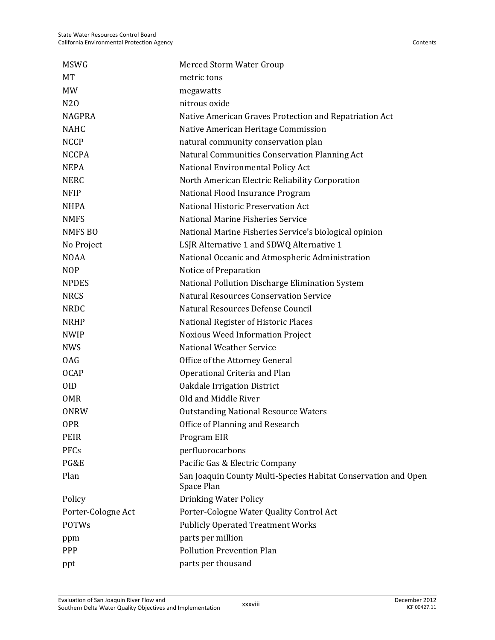| <b>MSWG</b>        | Merced Storm Water Group                                                     |
|--------------------|------------------------------------------------------------------------------|
| MT                 | metric tons                                                                  |
| <b>MW</b>          | megawatts                                                                    |
| N <sub>20</sub>    | nitrous oxide                                                                |
| <b>NAGPRA</b>      | Native American Graves Protection and Repatriation Act                       |
| <b>NAHC</b>        | Native American Heritage Commission                                          |
| <b>NCCP</b>        | natural community conservation plan                                          |
| <b>NCCPA</b>       | Natural Communities Conservation Planning Act                                |
| <b>NEPA</b>        | National Environmental Policy Act                                            |
| <b>NERC</b>        | North American Electric Reliability Corporation                              |
| <b>NFIP</b>        | National Flood Insurance Program                                             |
| <b>NHPA</b>        | National Historic Preservation Act                                           |
| <b>NMFS</b>        | National Marine Fisheries Service                                            |
| <b>NMFS BO</b>     | National Marine Fisheries Service's biological opinion                       |
| No Project         | LSJR Alternative 1 and SDWQ Alternative 1                                    |
| <b>NOAA</b>        | National Oceanic and Atmospheric Administration                              |
| <b>NOP</b>         | Notice of Preparation                                                        |
| <b>NPDES</b>       | National Pollution Discharge Elimination System                              |
| <b>NRCS</b>        | <b>Natural Resources Conservation Service</b>                                |
| <b>NRDC</b>        | Natural Resources Defense Council                                            |
| <b>NRHP</b>        | National Register of Historic Places                                         |
| <b>NWIP</b>        | Noxious Weed Information Project                                             |
| <b>NWS</b>         | <b>National Weather Service</b>                                              |
| <b>OAG</b>         | Office of the Attorney General                                               |
| <b>OCAP</b>        | Operational Criteria and Plan                                                |
| 0ID                | <b>Oakdale Irrigation District</b>                                           |
| <b>OMR</b>         | Old and Middle River                                                         |
| <b>ONRW</b>        | <b>Outstanding National Resource Waters</b>                                  |
| <b>OPR</b>         | Office of Planning and Research                                              |
| <b>PEIR</b>        | Program EIR                                                                  |
| PFCs               | perfluorocarbons                                                             |
| PG&E               | Pacific Gas & Electric Company                                               |
| Plan               | San Joaquin County Multi-Species Habitat Conservation and Open<br>Space Plan |
| Policy             | <b>Drinking Water Policy</b>                                                 |
| Porter-Cologne Act | Porter-Cologne Water Quality Control Act                                     |
| <b>POTWs</b>       | <b>Publicly Operated Treatment Works</b>                                     |
| ppm                | parts per million                                                            |
| PPP                | <b>Pollution Prevention Plan</b>                                             |
| ppt                | parts per thousand                                                           |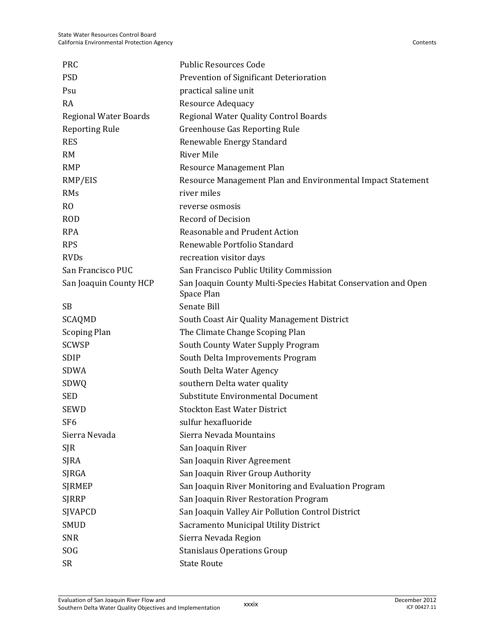| <b>PRC</b>                   | <b>Public Resources Code</b>                                                 |
|------------------------------|------------------------------------------------------------------------------|
| <b>PSD</b>                   | Prevention of Significant Deterioration                                      |
| Psu                          | practical saline unit                                                        |
| RA                           | Resource Adequacy                                                            |
| <b>Regional Water Boards</b> | Regional Water Quality Control Boards                                        |
| <b>Reporting Rule</b>        | <b>Greenhouse Gas Reporting Rule</b>                                         |
| <b>RES</b>                   | Renewable Energy Standard                                                    |
| <b>RM</b>                    | <b>River Mile</b>                                                            |
| <b>RMP</b>                   | Resource Management Plan                                                     |
| RMP/EIS                      | Resource Management Plan and Environmental Impact Statement                  |
| RMs                          | river miles                                                                  |
| R <sub>O</sub>               | reverse osmosis                                                              |
| <b>ROD</b>                   | <b>Record of Decision</b>                                                    |
| <b>RPA</b>                   | Reasonable and Prudent Action                                                |
| <b>RPS</b>                   | Renewable Portfolio Standard                                                 |
| <b>RVDs</b>                  | recreation visitor days                                                      |
| San Francisco PUC            | San Francisco Public Utility Commission                                      |
| San Joaquin County HCP       | San Joaquin County Multi-Species Habitat Conservation and Open<br>Space Plan |
| <b>SB</b>                    | Senate Bill                                                                  |
| SCAQMD                       | South Coast Air Quality Management District                                  |
| <b>Scoping Plan</b>          | The Climate Change Scoping Plan                                              |
| <b>SCWSP</b>                 | South County Water Supply Program                                            |
| <b>SDIP</b>                  | South Delta Improvements Program                                             |
| <b>SDWA</b>                  | South Delta Water Agency                                                     |
| SDWQ                         | southern Delta water quality                                                 |
| <b>SED</b>                   | Substitute Environmental Document                                            |
| <b>SEWD</b>                  | <b>Stockton East Water District</b>                                          |
| SF6                          | sulfur hexafluoride                                                          |
| Sierra Nevada                | Sierra Nevada Mountains                                                      |
| <b>SJR</b>                   | San Joaquin River                                                            |
| <b>SJRA</b>                  | San Joaquin River Agreement                                                  |
| SJRGA                        | San Joaquin River Group Authority                                            |
| <b>SJRMEP</b>                | San Joaquin River Monitoring and Evaluation Program                          |
| <b>SJRRP</b>                 | San Joaquin River Restoration Program                                        |
| SJVAPCD                      | San Joaquin Valley Air Pollution Control District                            |
| <b>SMUD</b>                  | Sacramento Municipal Utility District                                        |
| <b>SNR</b>                   | Sierra Nevada Region                                                         |
| SOG                          | <b>Stanislaus Operations Group</b>                                           |
| <b>SR</b>                    | <b>State Route</b>                                                           |